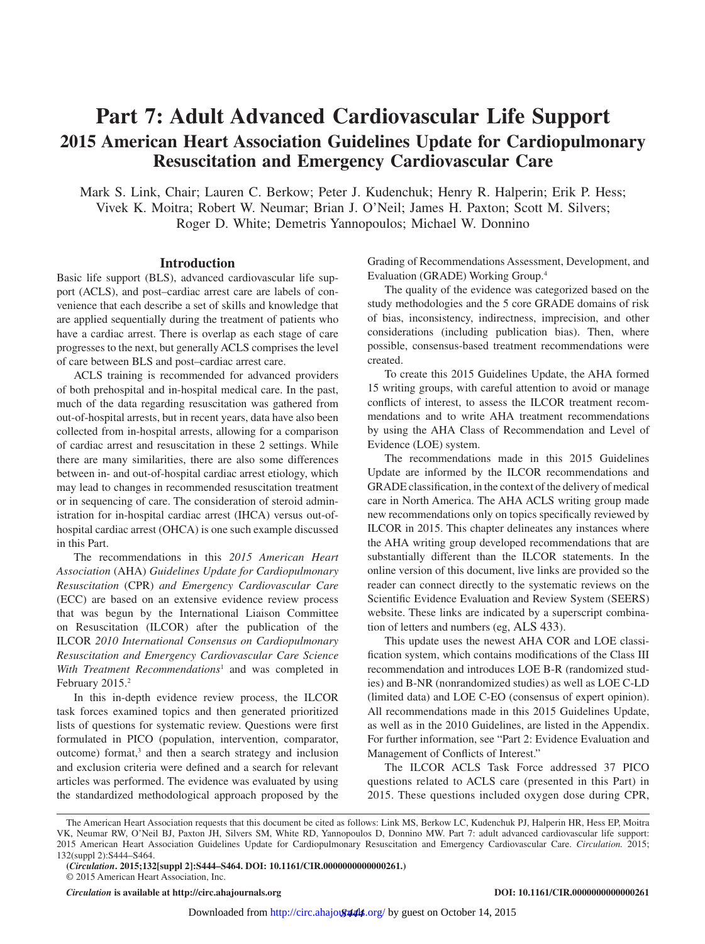# **Part 7: Adult Advanced Cardiovascular Life Support 2015 American Heart Association Guidelines Update for Cardiopulmonary Resuscitation and Emergency Cardiovascular Care**

Mark S. Link, Chair; Lauren C. Berkow; Peter J. Kudenchuk; Henry R. Halperin; Erik P. Hess; Vivek K. Moitra; Robert W. Neumar; Brian J. O'Neil; James H. Paxton; Scott M. Silvers; Roger D. White; Demetris Yannopoulos; Michael W. Donnino

### **Introduction**

Basic life support (BLS), advanced cardiovascular life support (ACLS), and post–cardiac arrest care are labels of convenience that each describe a set of skills and knowledge that are applied sequentially during the treatment of patients who have a cardiac arrest. There is overlap as each stage of care progresses to the next, but generally ACLS comprises the level of care between BLS and post–cardiac arrest care.

ACLS training is recommended for advanced providers of both prehospital and in-hospital medical care. In the past, much of the data regarding resuscitation was gathered from out-of-hospital arrests, but in recent years, data have also been collected from in-hospital arrests, allowing for a comparison of cardiac arrest and resuscitation in these 2 settings. While there are many similarities, there are also some differences between in- and out-of-hospital cardiac arrest etiology, which may lead to changes in recommended resuscitation treatment or in sequencing of care. The consideration of steroid administration for in-hospital cardiac arrest (IHCA) versus out-ofhospital cardiac arrest (OHCA) is one such example discussed in this Part.

The recommendations in this *2015 American Heart Association* (AHA) *Guidelines Update for Cardiopulmonary Resuscitation* (CPR) *and Emergency Cardiovascular Care* (ECC) are based on an extensive evidence review process that was begun by the International Liaison Committee on Resuscitation (ILCOR) after the publication of the ILCOR *2010 International Consensus on Cardiopulmonary Resuscitation and Emergency Cardiovascular Care Science*  With Treatment Recommendations<sup>1</sup> and was completed in February 2015.<sup>2</sup>

In this in-depth evidence review process, the ILCOR task forces examined topics and then generated prioritized lists of questions for systematic review. Questions were first formulated in PICO (population, intervention, comparator, outcome) format,<sup>3</sup> and then a search strategy and inclusion and exclusion criteria were defined and a search for relevant articles was performed. The evidence was evaluated by using the standardized methodological approach proposed by the

Grading of Recommendations Assessment, Development, and Evaluation (GRADE) Working Group.4

The quality of the evidence was categorized based on the study methodologies and the 5 core GRADE domains of risk of bias, inconsistency, indirectness, imprecision, and other considerations (including publication bias). Then, where possible, consensus-based treatment recommendations were created.

To create this 2015 Guidelines Update, the AHA formed 15 writing groups, with careful attention to avoid or manage conflicts of interest, to assess the ILCOR treatment recommendations and to write AHA treatment recommendations by using the AHA Class of Recommendation and Level of Evidence (LOE) system.

The recommendations made in this 2015 Guidelines Update are informed by the ILCOR recommendations and GRADE classification, in the context of the delivery of medical care in North America. The AHA ACLS writing group made new recommendations only on topics specifically reviewed by ILCOR in 2015. This chapter delineates any instances where the AHA writing group developed recommendations that are substantially different than the ILCOR statements. In the online version of this document, live links are provided so the reader can connect directly to the systematic reviews on the Scientific Evidence Evaluation and Review System (SEERS) website. These links are indicated by a superscript combination of letters and numbers (eg, ALS 433).

This update uses the newest AHA COR and LOE classification system, which contains modifications of the Class III recommendation and introduces LOE B-R (randomized studies) and B-NR (nonrandomized studies) as well as LOE C-LD (limited data) and LOE C-EO (consensus of expert opinion). All recommendations made in this 2015 Guidelines Update, as well as in the 2010 Guidelines, are listed in the Appendix. For further information, see "Part 2: Evidence Evaluation and Management of Conflicts of Interest."

The ILCOR ACLS Task Force addressed 37 PICO questions related to ACLS care (presented in this Part) in 2015. These questions included oxygen dose during CPR,

The American Heart Association requests that this document be cited as follows: Link MS, Berkow LC, Kudenchuk PJ, Halperin HR, Hess EP, Moitra VK, Neumar RW, O'Neil BJ, Paxton JH, Silvers SM, White RD, Yannopoulos D, Donnino MW. Part 7: adult advanced cardiovascular life support: 2015 American Heart Association Guidelines Update for Cardiopulmonary Resuscitation and Emergency Cardiovascular Care. *Circulation.* 2015; 132(suppl 2):S444–S464.

**<sup>(</sup>***Circulation***. 2015;132[suppl 2]:S444–S464. DOI: 10.1161/CIR.0000000000000261.)**

<sup>© 2015</sup> American Heart Association, Inc.

*Circulation* **is available at http://circ.ahajournals.org DOI: 10.1161/CIR.0000000000000261**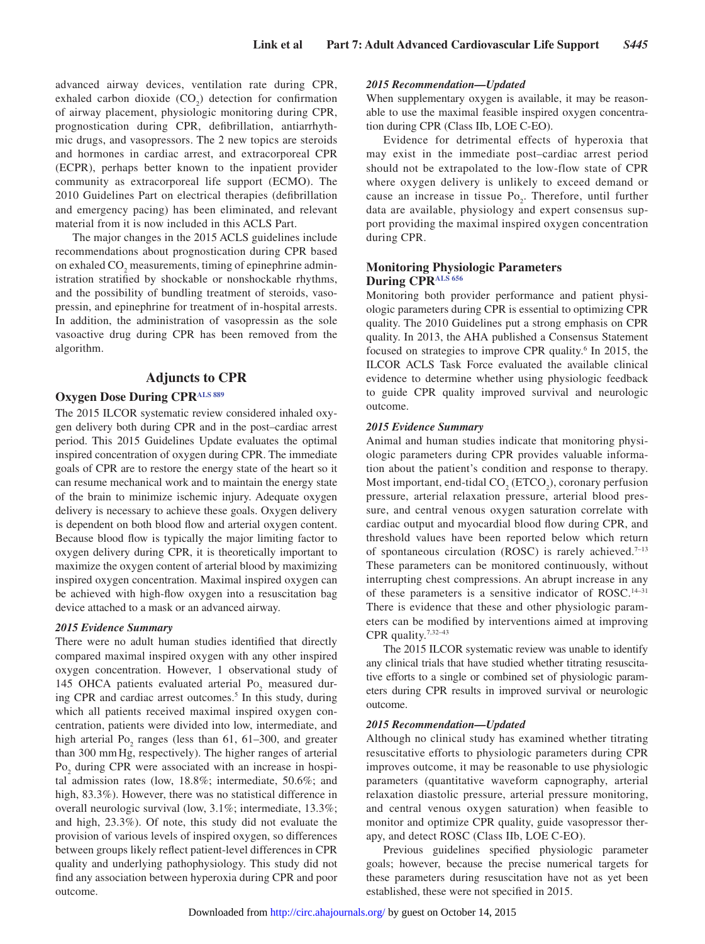advanced airway devices, ventilation rate during CPR, exhaled carbon dioxide  $(CO_2)$  detection for confirmation of airway placement, physiologic monitoring during CPR, prognostication during CPR, defibrillation, antiarrhythmic drugs, and vasopressors. The 2 new topics are steroids and hormones in cardiac arrest, and extracorporeal CPR (ECPR), perhaps better known to the inpatient provider community as extracorporeal life support (ECMO). The 2010 Guidelines Part on electrical therapies (defibrillation and emergency pacing) has been eliminated, and relevant material from it is now included in this ACLS Part.

The major changes in the 2015 ACLS guidelines include recommendations about prognostication during CPR based on exhaled  $\mathrm{CO}_2$  measurements, timing of epinephrine administration stratified by shockable or nonshockable rhythms, and the possibility of bundling treatment of steroids, vasopressin, and epinephrine for treatment of in-hospital arrests. In addition, the administration of vasopressin as the sole vasoactive drug during CPR has been removed from the algorithm.

### **Adjuncts to CPR**

# **Oxygen Dose During CPR[ALS 889](https://volunteer.heart.org/apps/pico/Pages/PublicComment.aspx?q=889)**

The 2015 ILCOR systematic review considered inhaled oxygen delivery both during CPR and in the post–cardiac arrest period. This 2015 Guidelines Update evaluates the optimal inspired concentration of oxygen during CPR. The immediate goals of CPR are to restore the energy state of the heart so it can resume mechanical work and to maintain the energy state of the brain to minimize ischemic injury. Adequate oxygen delivery is necessary to achieve these goals. Oxygen delivery is dependent on both blood flow and arterial oxygen content. Because blood flow is typically the major limiting factor to oxygen delivery during CPR, it is theoretically important to maximize the oxygen content of arterial blood by maximizing inspired oxygen concentration. Maximal inspired oxygen can be achieved with high-flow oxygen into a resuscitation bag device attached to a mask or an advanced airway.

#### *2015 Evidence Summary*

There were no adult human studies identified that directly compared maximal inspired oxygen with any other inspired oxygen concentration. However, 1 observational study of 145 OHCA patients evaluated arterial  $Po_2$  measured during CPR and cardiac arrest outcomes.<sup>5</sup> In this study, during which all patients received maximal inspired oxygen concentration, patients were divided into low, intermediate, and high arterial  $Po_2$  ranges (less than 61, 61–300, and greater than 300 mmHg, respectively). The higher ranges of arterial Po<sub>2</sub> during CPR were associated with an increase in hospital admission rates (low, 18.8%; intermediate, 50.6%; and high, 83.3%). However, there was no statistical difference in overall neurologic survival (low, 3.1%; intermediate, 13.3%; and high, 23.3%). Of note, this study did not evaluate the provision of various levels of inspired oxygen, so differences between groups likely reflect patient-level differences in CPR quality and underlying pathophysiology. This study did not find any association between hyperoxia during CPR and poor outcome.

#### *2015 Recommendation—Updated*

When supplementary oxygen is available, it may be reasonable to use the maximal feasible inspired oxygen concentration during CPR (Class IIb, LOE C-EO).

Evidence for detrimental effects of hyperoxia that may exist in the immediate post–cardiac arrest period should not be extrapolated to the low-flow state of CPR where oxygen delivery is unlikely to exceed demand or cause an increase in tissue  $Po_2$ . Therefore, until further data are available, physiology and expert consensus support providing the maximal inspired oxygen concentration during CPR.

### **Monitoring Physiologic Parameters During CP[RALS 656](https://volunteer.heart.org/apps/pico/Pages/PublicComment.aspx?q=656)**

Monitoring both provider performance and patient physiologic parameters during CPR is essential to optimizing CPR quality. The 2010 Guidelines put a strong emphasis on CPR quality. In 2013, the AHA published a Consensus Statement focused on strategies to improve CPR quality.<sup>6</sup> In 2015, the ILCOR ACLS Task Force evaluated the available clinical evidence to determine whether using physiologic feedback to guide CPR quality improved survival and neurologic outcome.

#### *2015 Evidence Summary*

Animal and human studies indicate that monitoring physiologic parameters during CPR provides valuable information about the patient's condition and response to therapy. Most important, end-tidal  $CO<sub>2</sub> (ETCO<sub>2</sub>)$ , coronary perfusion pressure, arterial relaxation pressure, arterial blood pressure, and central venous oxygen saturation correlate with cardiac output and myocardial blood flow during CPR, and threshold values have been reported below which return of spontaneous circulation (ROSC) is rarely achieved.<sup>7-13</sup> These parameters can be monitored continuously, without interrupting chest compressions. An abrupt increase in any of these parameters is a sensitive indicator of ROSC.14–31 There is evidence that these and other physiologic parameters can be modified by interventions aimed at improving CPR quality.7,32–43

The 2015 ILCOR systematic review was unable to identify any clinical trials that have studied whether titrating resuscitative efforts to a single or combined set of physiologic parameters during CPR results in improved survival or neurologic outcome.

#### *2015 Recommendation—Updated*

Although no clinical study has examined whether titrating resuscitative efforts to physiologic parameters during CPR improves outcome, it may be reasonable to use physiologic parameters (quantitative waveform capnography, arterial relaxation diastolic pressure, arterial pressure monitoring, and central venous oxygen saturation) when feasible to monitor and optimize CPR quality, guide vasopressor therapy, and detect ROSC (Class IIb, LOE C-EO).

Previous guidelines specified physiologic parameter goals; however, because the precise numerical targets for these parameters during resuscitation have not as yet been established, these were not specified in 2015.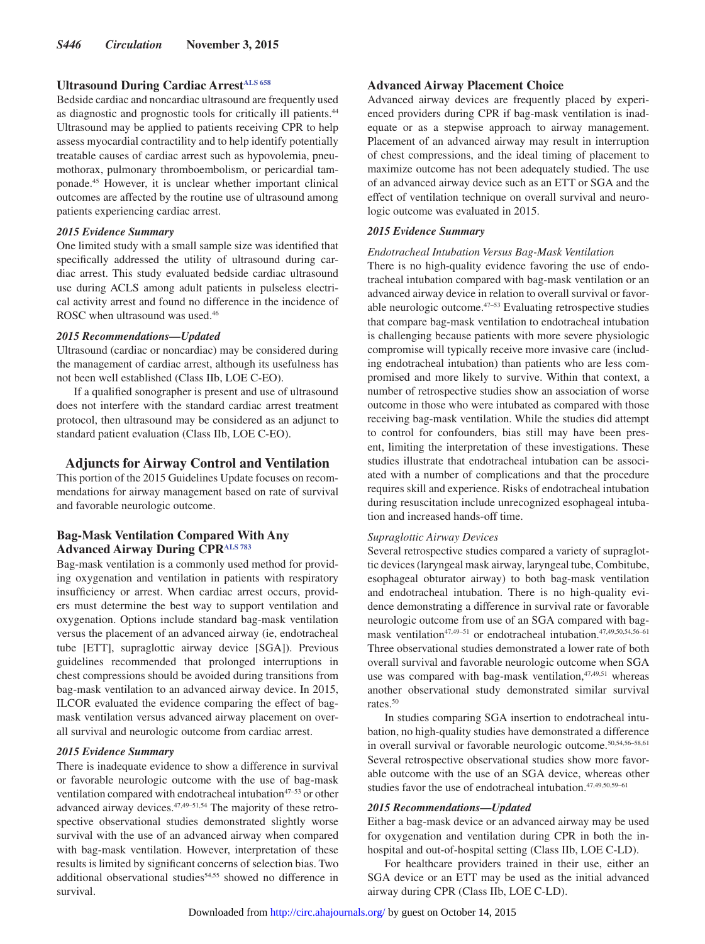# **Ultrasound During Cardiac Arrest ALS 658**

Bedside cardiac and noncardiac ultrasound are frequently used as diagnostic and prognostic tools for critically ill patients.44 Ultrasound may be applied to patients receiving CPR to help assess myocardial contractility and to help identify potentially treatable causes of cardiac arrest such as hypovolemia, pneumothorax, pulmonary thromboembolism, or pericardial tamponade.45 However, it is unclear whether important clinical outcomes are affected by the routine use of ultrasound among patients experiencing cardiac arrest.

#### *2015 Evidence Summary*

One limited study with a small sample size was identified that specifically addressed the utility of ultrasound during cardiac arrest. This study evaluated bedside cardiac ultrasound use during ACLS among adult patients in pulseless electrical activity arrest and found no difference in the incidence of ROSC when ultrasound was used.46

#### *2015 Recommendations—Updated*

Ultrasound (cardiac or noncardiac) may be considered during the management of cardiac arrest, although its usefulness has not been well established (Class IIb, LOE C-EO).

If a qualified sonographer is present and use of ultrasound does not interfere with the standard cardiac arrest treatment protocol, then ultrasound may be considered as an adjunct to standard patient evaluation (Class IIb, LOE C-EO).

#### **Adjuncts for Airway Control and Ventilation**

This portion of the 2015 Guidelines Update focuses on recommendations for airway management based on rate of survival and favorable neurologic outcome.

### **Bag-Mask Ventilation Compared With Any Advanced Airway During CP[RALS 783](https://volunteer.heart.org/apps/pico/Pages/PublicComment.aspx?q=783)**

Bag-mask ventilation is a commonly used method for providing oxygenation and ventilation in patients with respiratory insufficiency or arrest. When cardiac arrest occurs, providers must determine the best way to support ventilation and oxygenation. Options include standard bag-mask ventilation versus the placement of an advanced airway (ie, endotracheal tube [ETT], supraglottic airway device [SGA]). Previous guidelines recommended that prolonged interruptions in chest compressions should be avoided during transitions from bag-mask ventilation to an advanced airway device. In 2015, ILCOR evaluated the evidence comparing the effect of bagmask ventilation versus advanced airway placement on overall survival and neurologic outcome from cardiac arrest.

#### *2015 Evidence Summary*

There is inadequate evidence to show a difference in survival or favorable neurologic outcome with the use of bag-mask ventilation compared with endotracheal intubation<sup>47-53</sup> or other advanced airway devices.47,49–51,54 The majority of these retrospective observational studies demonstrated slightly worse survival with the use of an advanced airway when compared with bag-mask ventilation. However, interpretation of these results is limited by significant concerns of selection bias. Two additional observational studies<sup>54,55</sup> showed no difference in survival.

#### **Advanced Airway Placement Choice**

Advanced airway devices are frequently placed by experienced providers during CPR if bag-mask ventilation is inadequate or as a stepwise approach to airway management. Placement of an advanced airway may result in interruption of chest compressions, and the ideal timing of placement to maximize outcome has not been adequately studied. The use of an advanced airway device such as an ETT or SGA and the effect of ventilation technique on overall survival and neurologic outcome was evaluated in 2015.

### *2015 Evidence Summary*

#### *Endotracheal Intubation Versus Bag-Mask Ventilation*

There is no high-quality evidence favoring the use of endotracheal intubation compared with bag-mask ventilation or an advanced airway device in relation to overall survival or favorable neurologic outcome.47–53 Evaluating retrospective studies that compare bag-mask ventilation to endotracheal intubation is challenging because patients with more severe physiologic compromise will typically receive more invasive care (including endotracheal intubation) than patients who are less compromised and more likely to survive. Within that context, a number of retrospective studies show an association of worse outcome in those who were intubated as compared with those receiving bag-mask ventilation. While the studies did attempt to control for confounders, bias still may have been present, limiting the interpretation of these investigations. These studies illustrate that endotracheal intubation can be associated with a number of complications and that the procedure requires skill and experience. Risks of endotracheal intubation during resuscitation include unrecognized esophageal intubation and increased hands-off time.

#### *Supraglottic Airway Devices*

Several retrospective studies compared a variety of supraglottic devices (laryngeal mask airway, laryngeal tube, Combitube, esophageal obturator airway) to both bag-mask ventilation and endotracheal intubation. There is no high-quality evidence demonstrating a difference in survival rate or favorable neurologic outcome from use of an SGA compared with bagmask ventilation<sup>47,49–51</sup> or endotracheal intubation.<sup>47,49,50,54,56–61</sup> Three observational studies demonstrated a lower rate of both overall survival and favorable neurologic outcome when SGA use was compared with bag-mask ventilation, $47,49,51$  whereas another observational study demonstrated similar survival rates.50

In studies comparing SGA insertion to endotracheal intubation, no high-quality studies have demonstrated a difference in overall survival or favorable neurologic outcome.<sup>50,54,56-58,61</sup> Several retrospective observational studies show more favorable outcome with the use of an SGA device, whereas other studies favor the use of endotracheal intubation.<sup>47,49,50,59-61</sup>

#### *2015 Recommendations—Updated*

Either a bag-mask device or an advanced airway may be used for oxygenation and ventilation during CPR in both the inhospital and out-of-hospital setting (Class IIb, LOE C-LD).

For healthcare providers trained in their use, either an SGA device or an ETT may be used as the initial advanced airway during CPR (Class IIb, LOE C-LD).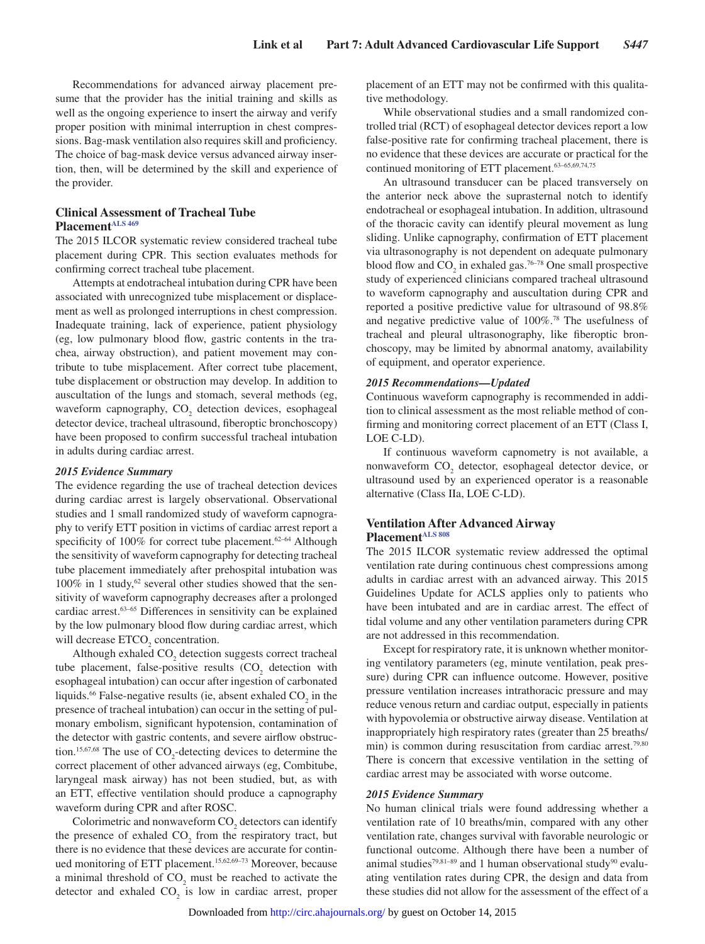Recommendations for advanced airway placement presume that the provider has the initial training and skills as well as the ongoing experience to insert the airway and verify proper position with minimal interruption in chest compressions. Bag-mask ventilation also requires skill and proficiency. The choice of bag-mask device versus advanced airway insertion, then, will be determined by the skill and experience of the provider.

#### **Clinical Assessment of Tracheal Tube Placement[ALS 469](https://volunteer.heart.org/apps/pico/Pages/PublicComment.aspx?q=469)**

The 2015 ILCOR systematic review considered tracheal tube placement during CPR. This section evaluates methods for confirming correct tracheal tube placement.

Attempts at endotracheal intubation during CPR have been associated with unrecognized tube misplacement or displacement as well as prolonged interruptions in chest compression. Inadequate training, lack of experience, patient physiology (eg, low pulmonary blood flow, gastric contents in the trachea, airway obstruction), and patient movement may contribute to tube misplacement. After correct tube placement, tube displacement or obstruction may develop. In addition to auscultation of the lungs and stomach, several methods (eg, waveform capnography,  $CO<sub>2</sub>$  detection devices, esophageal detector device, tracheal ultrasound, fiberoptic bronchoscopy) have been proposed to confirm successful tracheal intubation in adults during cardiac arrest.

#### *2015 Evidence Summary*

The evidence regarding the use of tracheal detection devices during cardiac arrest is largely observational. Observational studies and 1 small randomized study of waveform capnography to verify ETT position in victims of cardiac arrest report a specificity of 100% for correct tube placement.<sup>62-64</sup> Although the sensitivity of waveform capnography for detecting tracheal tube placement immediately after prehospital intubation was 100% in 1 study,62 several other studies showed that the sensitivity of waveform capnography decreases after a prolonged cardiac arrest.63–65 Differences in sensitivity can be explained by the low pulmonary blood flow during cardiac arrest, which will decrease  $ETCO<sub>2</sub>$  concentration.

Although exhaled  $CO<sub>2</sub>$  detection suggests correct tracheal tube placement, false-positive results  $(CO_2)$  detection with esophageal intubation) can occur after ingestion of carbonated liquids.<sup>66</sup> False-negative results (ie, absent exhaled  $CO_2$  in the presence of tracheal intubation) can occur in the setting of pulmonary embolism, significant hypotension, contamination of the detector with gastric contents, and severe airflow obstruction.<sup>15,67,68</sup> The use of  $CO_2$ -detecting devices to determine the correct placement of other advanced airways (eg, Combitube, laryngeal mask airway) has not been studied, but, as with an ETT, effective ventilation should produce a capnography waveform during CPR and after ROSC.

Colorimetric and nonwaveform  $CO<sub>2</sub>$  detectors can identify the presence of exhaled  $CO_2$  from the respiratory tract, but there is no evidence that these devices are accurate for continued monitoring of ETT placement.<sup>15,62,69-73</sup> Moreover, because a minimal threshold of  $CO_2$  must be reached to activate the detector and exhaled  $CO<sub>2</sub>$  is low in cardiac arrest, proper placement of an ETT may not be confirmed with this qualitative methodology.

While observational studies and a small randomized controlled trial (RCT) of esophageal detector devices report a low false-positive rate for confirming tracheal placement, there is no evidence that these devices are accurate or practical for the continued monitoring of ETT placement.<sup>63-65,69,74,75</sup>

An ultrasound transducer can be placed transversely on the anterior neck above the suprasternal notch to identify endotracheal or esophageal intubation. In addition, ultrasound of the thoracic cavity can identify pleural movement as lung sliding. Unlike capnography, confirmation of ETT placement via ultrasonography is not dependent on adequate pulmonary blood flow and  $CO_2$  in exhaled gas.<sup>76-78</sup> One small prospective study of experienced clinicians compared tracheal ultrasound to waveform capnography and auscultation during CPR and reported a positive predictive value for ultrasound of 98.8% and negative predictive value of 100%.78 The usefulness of tracheal and pleural ultrasonography, like fiberoptic bronchoscopy, may be limited by abnormal anatomy, availability of equipment, and operator experience.

#### *2015 Recommendations—Updated*

Continuous waveform capnography is recommended in addition to clinical assessment as the most reliable method of confirming and monitoring correct placement of an ETT (Class I, LOE C-LD).

If continuous waveform capnometry is not available, a nonwaveform CO<sub>2</sub> detector, esophageal detector device, or ultrasound used by an experienced operator is a reasonable alternative (Class IIa, LOE C-LD).

#### **Ventilation After Advanced Airway Placement[ALS 808](https://volunteer.heart.org/apps/pico/Pages/PublicComment.aspx?q=808)**

The 2015 ILCOR systematic review addressed the optimal ventilation rate during continuous chest compressions among adults in cardiac arrest with an advanced airway. This 2015 Guidelines Update for ACLS applies only to patients who have been intubated and are in cardiac arrest. The effect of tidal volume and any other ventilation parameters during CPR are not addressed in this recommendation.

Except for respiratory rate, it is unknown whether monitoring ventilatory parameters (eg, minute ventilation, peak pressure) during CPR can influence outcome. However, positive pressure ventilation increases intrathoracic pressure and may reduce venous return and cardiac output, especially in patients with hypovolemia or obstructive airway disease. Ventilation at inappropriately high respiratory rates (greater than 25 breaths/ min) is common during resuscitation from cardiac arrest.<sup>79,80</sup> There is concern that excessive ventilation in the setting of cardiac arrest may be associated with worse outcome.

#### *2015 Evidence Summary*

No human clinical trials were found addressing whether a ventilation rate of 10 breaths/min, compared with any other ventilation rate, changes survival with favorable neurologic or functional outcome. Although there have been a number of animal studies<sup>79,81-89</sup> and 1 human observational study<sup>90</sup> evaluating ventilation rates during CPR, the design and data from these studies did not allow for the assessment of the effect of a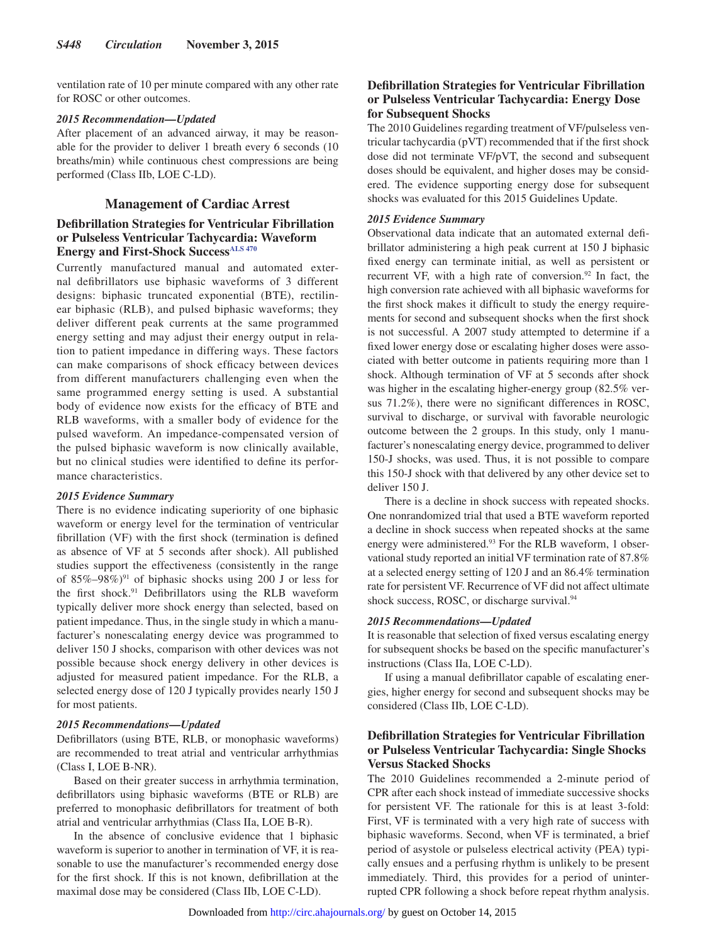ventilation rate of 10 per minute compared with any other rate for ROSC or other outcomes.

#### *2015 Recommendation—Updated*

After placement of an advanced airway, it may be reasonable for the provider to deliver 1 breath every 6 seconds (10 breaths/min) while continuous chest compressions are being performed (Class IIb, LOE C-LD).

### **Management of Cardiac Arrest**

### **Defibrillation Strategies for Ventricular Fibrillation or Pulseless Ventricular Tachycardia: Waveform Energy and First-Shock Success[ALS 470](https://volunteer.heart.org/apps/pico/Pages/PublicComment.aspx?q=470)**

Currently manufactured manual and automated external defibrillators use biphasic waveforms of 3 different designs: biphasic truncated exponential (BTE), rectilinear biphasic (RLB), and pulsed biphasic waveforms; they deliver different peak currents at the same programmed energy setting and may adjust their energy output in relation to patient impedance in differing ways. These factors can make comparisons of shock efficacy between devices from different manufacturers challenging even when the same programmed energy setting is used. A substantial body of evidence now exists for the efficacy of BTE and RLB waveforms, with a smaller body of evidence for the pulsed waveform. An impedance-compensated version of the pulsed biphasic waveform is now clinically available, but no clinical studies were identified to define its performance characteristics.

#### *2015 Evidence Summary*

There is no evidence indicating superiority of one biphasic waveform or energy level for the termination of ventricular fibrillation (VF) with the first shock (termination is defined as absence of VF at 5 seconds after shock). All published studies support the effectiveness (consistently in the range of  $85\% - 98\%)$ <sup>91</sup> of biphasic shocks using 200 J or less for the first shock.<sup>91</sup> Defibrillators using the RLB waveform typically deliver more shock energy than selected, based on patient impedance. Thus, in the single study in which a manufacturer's nonescalating energy device was programmed to deliver 150 J shocks, comparison with other devices was not possible because shock energy delivery in other devices is adjusted for measured patient impedance. For the RLB, a selected energy dose of 120 J typically provides nearly 150 J for most patients.

### *2015 Recommendations—Updated*

Defibrillators (using BTE, RLB, or monophasic waveforms) are recommended to treat atrial and ventricular arrhythmias (Class I, LOE B-NR).

Based on their greater success in arrhythmia termination, defibrillators using biphasic waveforms (BTE or RLB) are preferred to monophasic defibrillators for treatment of both atrial and ventricular arrhythmias (Class IIa, LOE B-R).

In the absence of conclusive evidence that 1 biphasic waveform is superior to another in termination of VF, it is reasonable to use the manufacturer's recommended energy dose for the first shock. If this is not known, defibrillation at the maximal dose may be considered (Class IIb, LOE C-LD).

### **Defibrillation Strategies for Ventricular Fibrillation or Pulseless Ventricular Tachycardia: Energy Dose for Subsequent Shocks**

The 2010 Guidelines regarding treatment of VF/pulseless ventricular tachycardia (pVT) recommended that if the first shock dose did not terminate VF/pVT, the second and subsequent doses should be equivalent, and higher doses may be considered. The evidence supporting energy dose for subsequent shocks was evaluated for this 2015 Guidelines Update.

#### *2015 Evidence Summary*

Observational data indicate that an automated external defibrillator administering a high peak current at 150 J biphasic fixed energy can terminate initial, as well as persistent or recurrent VF, with a high rate of conversion. $92$  In fact, the high conversion rate achieved with all biphasic waveforms for the first shock makes it difficult to study the energy requirements for second and subsequent shocks when the first shock is not successful. A 2007 study attempted to determine if a fixed lower energy dose or escalating higher doses were associated with better outcome in patients requiring more than 1 shock. Although termination of VF at 5 seconds after shock was higher in the escalating higher-energy group (82.5% versus 71.2%), there were no significant differences in ROSC, survival to discharge, or survival with favorable neurologic outcome between the 2 groups. In this study, only 1 manufacturer's nonescalating energy device, programmed to deliver 150-J shocks, was used. Thus, it is not possible to compare this 150-J shock with that delivered by any other device set to deliver 150 J.

There is a decline in shock success with repeated shocks. One nonrandomized trial that used a BTE waveform reported a decline in shock success when repeated shocks at the same energy were administered.93 For the RLB waveform, 1 observational study reported an initial VF termination rate of 87.8% at a selected energy setting of 120 J and an 86.4% termination rate for persistent VF. Recurrence of VF did not affect ultimate shock success, ROSC, or discharge survival.<sup>94</sup>

#### *2015 Recommendations—Updated*

It is reasonable that selection of fixed versus escalating energy for subsequent shocks be based on the specific manufacturer's instructions (Class IIa, LOE C-LD).

If using a manual defibrillator capable of escalating energies, higher energy for second and subsequent shocks may be considered (Class IIb, LOE C-LD).

### **Defibrillation Strategies for Ventricular Fibrillation or Pulseless Ventricular Tachycardia: Single Shocks Versus Stacked Shocks**

The 2010 Guidelines recommended a 2-minute period of CPR after each shock instead of immediate successive shocks for persistent VF. The rationale for this is at least 3-fold: First, VF is terminated with a very high rate of success with biphasic waveforms. Second, when VF is terminated, a brief period of asystole or pulseless electrical activity (PEA) typically ensues and a perfusing rhythm is unlikely to be present immediately. Third, this provides for a period of uninterrupted CPR following a shock before repeat rhythm analysis.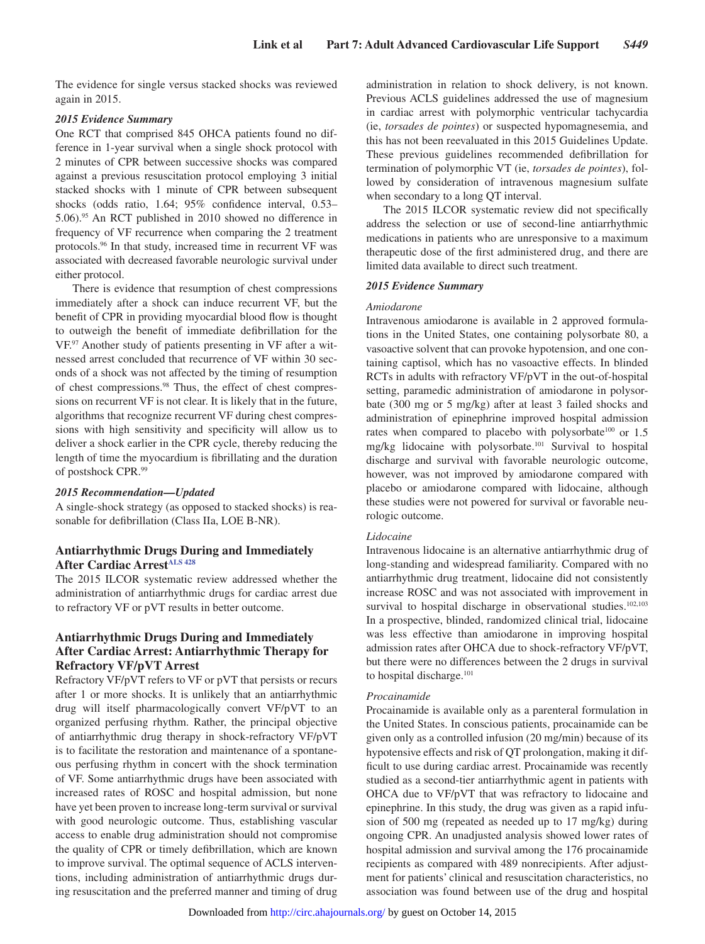The evidence for single versus stacked shocks was reviewed again in 2015.

#### *2015 Evidence Summary*

One RCT that comprised 845 OHCA patients found no difference in 1-year survival when a single shock protocol with 2 minutes of CPR between successive shocks was compared against a previous resuscitation protocol employing 3 initial stacked shocks with 1 minute of CPR between subsequent shocks (odds ratio, 1.64; 95% confidence interval, 0.53– 5.06).95 An RCT published in 2010 showed no difference in frequency of VF recurrence when comparing the 2 treatment protocols.96 In that study, increased time in recurrent VF was associated with decreased favorable neurologic survival under either protocol.

There is evidence that resumption of chest compressions immediately after a shock can induce recurrent VF, but the benefit of CPR in providing myocardial blood flow is thought to outweigh the benefit of immediate defibrillation for the VF.97 Another study of patients presenting in VF after a witnessed arrest concluded that recurrence of VF within 30 seconds of a shock was not affected by the timing of resumption of chest compressions.98 Thus, the effect of chest compressions on recurrent VF is not clear. It is likely that in the future, algorithms that recognize recurrent VF during chest compressions with high sensitivity and specificity will allow us to deliver a shock earlier in the CPR cycle, thereby reducing the length of time the myocardium is fibrillating and the duration of postshock CPR.99

#### *2015 Recommendation—Updated*

A single-shock strategy (as opposed to stacked shocks) is reasonable for defibrillation (Class IIa, LOE B-NR).

### **Antiarrhythmic Drugs During and Immediately After Cardiac Arrest[ALS 428](https://volunteer.heart.org/apps/pico/Pages/PublicComment.aspx?q=428)**

The 2015 ILCOR systematic review addressed whether the administration of antiarrhythmic drugs for cardiac arrest due to refractory VF or pVT results in better outcome.

### **Antiarrhythmic Drugs During and Immediately After Cardiac Arrest: Antiarrhythmic Therapy for Refractory VF/pVT Arrest**

Refractory VF/pVT refers to VF or pVT that persists or recurs after 1 or more shocks. It is unlikely that an antiarrhythmic drug will itself pharmacologically convert VF/pVT to an organized perfusing rhythm. Rather, the principal objective of antiarrhythmic drug therapy in shock-refractory VF/pVT is to facilitate the restoration and maintenance of a spontaneous perfusing rhythm in concert with the shock termination of VF. Some antiarrhythmic drugs have been associated with increased rates of ROSC and hospital admission, but none have yet been proven to increase long-term survival or survival with good neurologic outcome. Thus, establishing vascular access to enable drug administration should not compromise the quality of CPR or timely defibrillation, which are known to improve survival. The optimal sequence of ACLS interventions, including administration of antiarrhythmic drugs during resuscitation and the preferred manner and timing of drug administration in relation to shock delivery, is not known. Previous ACLS guidelines addressed the use of magnesium in cardiac arrest with polymorphic ventricular tachycardia (ie, *torsades de pointes*) or suspected hypomagnesemia, and this has not been reevaluated in this 2015 Guidelines Update. These previous guidelines recommended defibrillation for termination of polymorphic VT (ie, *torsades de pointes*), followed by consideration of intravenous magnesium sulfate when secondary to a long QT interval.

The 2015 ILCOR systematic review did not specifically address the selection or use of second-line antiarrhythmic medications in patients who are unresponsive to a maximum therapeutic dose of the first administered drug, and there are limited data available to direct such treatment.

#### *2015 Evidence Summary*

#### *Amiodarone*

Intravenous amiodarone is available in 2 approved formulations in the United States, one containing polysorbate 80, a vasoactive solvent that can provoke hypotension, and one containing captisol, which has no vasoactive effects. In blinded RCTs in adults with refractory VF/pVT in the out-of-hospital setting, paramedic administration of amiodarone in polysorbate (300 mg or 5 mg/kg) after at least 3 failed shocks and administration of epinephrine improved hospital admission rates when compared to placebo with polysorbate<sup>100</sup> or 1.5 mg/kg lidocaine with polysorbate.101 Survival to hospital discharge and survival with favorable neurologic outcome, however, was not improved by amiodarone compared with placebo or amiodarone compared with lidocaine, although these studies were not powered for survival or favorable neurologic outcome.

#### *Lidocaine*

Intravenous lidocaine is an alternative antiarrhythmic drug of long-standing and widespread familiarity. Compared with no antiarrhythmic drug treatment, lidocaine did not consistently increase ROSC and was not associated with improvement in survival to hospital discharge in observational studies.<sup>102,103</sup> In a prospective, blinded, randomized clinical trial, lidocaine was less effective than amiodarone in improving hospital admission rates after OHCA due to shock-refractory VF/pVT, but there were no differences between the 2 drugs in survival to hospital discharge.101

#### *Procainamide*

Procainamide is available only as a parenteral formulation in the United States. In conscious patients, procainamide can be given only as a controlled infusion (20 mg/min) because of its hypotensive effects and risk of QT prolongation, making it difficult to use during cardiac arrest. Procainamide was recently studied as a second-tier antiarrhythmic agent in patients with OHCA due to VF/pVT that was refractory to lidocaine and epinephrine. In this study, the drug was given as a rapid infusion of 500 mg (repeated as needed up to 17 mg/kg) during ongoing CPR. An unadjusted analysis showed lower rates of hospital admission and survival among the 176 procainamide recipients as compared with 489 nonrecipients. After adjustment for patients' clinical and resuscitation characteristics, no association was found between use of the drug and hospital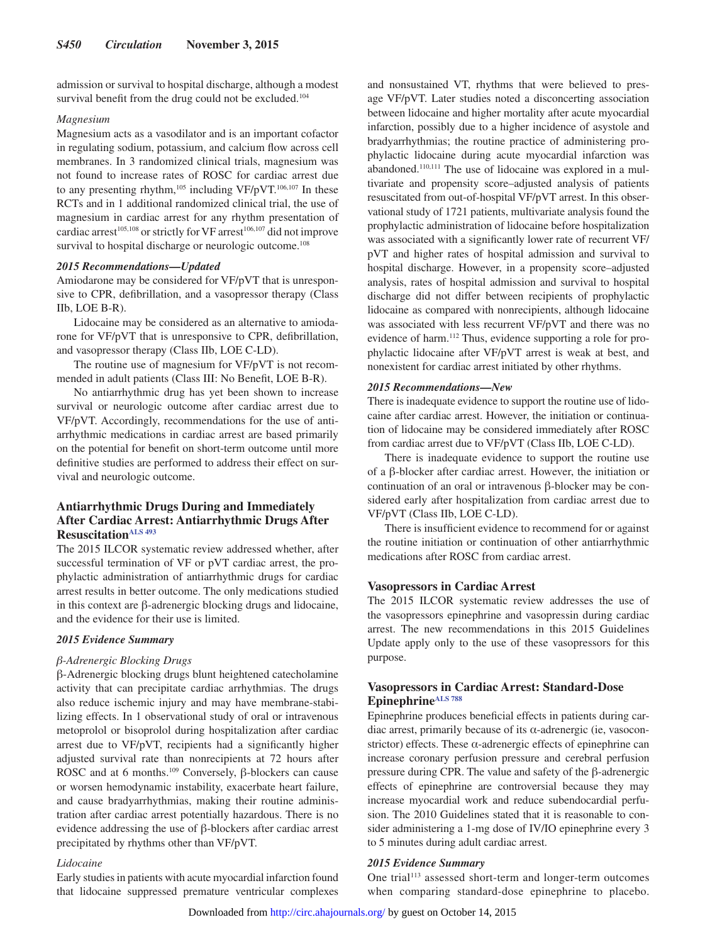admission or survival to hospital discharge, although a modest survival benefit from the drug could not be excluded.<sup>104</sup>

### *Magnesium*

Magnesium acts as a vasodilator and is an important cofactor in regulating sodium, potassium, and calcium flow across cell membranes. In 3 randomized clinical trials, magnesium was not found to increase rates of ROSC for cardiac arrest due to any presenting rhythm,<sup>105</sup> including VF/pVT.<sup>106,107</sup> In these RCTs and in 1 additional randomized clinical trial, the use of magnesium in cardiac arrest for any rhythm presentation of cardiac arrest<sup>105,108</sup> or strictly for VF arrest<sup>106,107</sup> did not improve survival to hospital discharge or neurologic outcome.<sup>108</sup>

#### *2015 Recommendations—Updated*

Amiodarone may be considered for VF/pVT that is unresponsive to CPR, defibrillation, and a vasopressor therapy (Class IIb, LOE B-R).

Lidocaine may be considered as an alternative to amiodarone for VF/pVT that is unresponsive to CPR, defibrillation, and vasopressor therapy (Class IIb, LOE C-LD).

The routine use of magnesium for VF/pVT is not recommended in adult patients (Class III: No Benefit, LOE B-R).

No antiarrhythmic drug has yet been shown to increase survival or neurologic outcome after cardiac arrest due to VF/pVT. Accordingly, recommendations for the use of antiarrhythmic medications in cardiac arrest are based primarily on the potential for benefit on short-term outcome until more definitive studies are performed to address their effect on survival and neurologic outcome.

### **Antiarrhythmic Drugs During and Immediately After Cardiac Arrest: Antiarrhythmic Drugs After Resuscitatio[nALS 493](https://volunteer.heart.org/apps/pico/Pages/PublicComment.aspx?q=493)**

The 2015 ILCOR systematic review addressed whether, after successful termination of VF or pVT cardiac arrest, the prophylactic administration of antiarrhythmic drugs for cardiac arrest results in better outcome. The only medications studied in this context are β-adrenergic blocking drugs and lidocaine, and the evidence for their use is limited.

#### *2015 Evidence Summary*

### *β-Adrenergic Blocking Drugs*

β-Adrenergic blocking drugs blunt heightened catecholamine activity that can precipitate cardiac arrhythmias. The drugs also reduce ischemic injury and may have membrane-stabilizing effects. In 1 observational study of oral or intravenous metoprolol or bisoprolol during hospitalization after cardiac arrest due to VF/pVT, recipients had a significantly higher adjusted survival rate than nonrecipients at 72 hours after ROSC and at 6 months.<sup>109</sup> Conversely, β-blockers can cause or worsen hemodynamic instability, exacerbate heart failure, and cause bradyarrhythmias, making their routine administration after cardiac arrest potentially hazardous. There is no evidence addressing the use of β-blockers after cardiac arrest precipitated by rhythms other than VF/pVT.

#### *Lidocaine*

Early studies in patients with acute myocardial infarction found that lidocaine suppressed premature ventricular complexes

and nonsustained VT, rhythms that were believed to presage VF/pVT. Later studies noted a disconcerting association between lidocaine and higher mortality after acute myocardial infarction, possibly due to a higher incidence of asystole and bradyarrhythmias; the routine practice of administering prophylactic lidocaine during acute myocardial infarction was abandoned.<sup>110,111</sup> The use of lidocaine was explored in a multivariate and propensity score–adjusted analysis of patients resuscitated from out-of-hospital VF/pVT arrest. In this observational study of 1721 patients, multivariate analysis found the prophylactic administration of lidocaine before hospitalization was associated with a significantly lower rate of recurrent VF/ pVT and higher rates of hospital admission and survival to hospital discharge. However, in a propensity score–adjusted analysis, rates of hospital admission and survival to hospital discharge did not differ between recipients of prophylactic lidocaine as compared with nonrecipients, although lidocaine was associated with less recurrent VF/pVT and there was no evidence of harm.112 Thus, evidence supporting a role for prophylactic lidocaine after VF/pVT arrest is weak at best, and nonexistent for cardiac arrest initiated by other rhythms.

#### *2015 Recommendations—New*

There is inadequate evidence to support the routine use of lidocaine after cardiac arrest. However, the initiation or continuation of lidocaine may be considered immediately after ROSC from cardiac arrest due to VF/pVT (Class IIb, LOE C-LD).

There is inadequate evidence to support the routine use of a β-blocker after cardiac arrest. However, the initiation or continuation of an oral or intravenous β-blocker may be considered early after hospitalization from cardiac arrest due to VF/pVT (Class IIb, LOE C-LD).

There is insufficient evidence to recommend for or against the routine initiation or continuation of other antiarrhythmic medications after ROSC from cardiac arrest.

### **Vasopressors in Cardiac Arrest**

The 2015 ILCOR systematic review addresses the use of the vasopressors epinephrine and vasopressin during cardiac arrest. The new recommendations in this 2015 Guidelines Update apply only to the use of these vasopressors for this purpose.

### **Vasopressors in Cardiac Arrest: Standard-Dose Epinephrin[eALS 788](https://volunteer.heart.org/apps/pico/Pages/PublicComment.aspx?q=788)**

Epinephrine produces beneficial effects in patients during cardiac arrest, primarily because of its α-adrenergic (ie, vasoconstrictor) effects. These α-adrenergic effects of epinephrine can increase coronary perfusion pressure and cerebral perfusion pressure during CPR. The value and safety of the β-adrenergic effects of epinephrine are controversial because they may increase myocardial work and reduce subendocardial perfusion. The 2010 Guidelines stated that it is reasonable to consider administering a 1-mg dose of IV/IO epinephrine every 3 to 5 minutes during adult cardiac arrest.

### *2015 Evidence Summary*

One trial<sup>113</sup> assessed short-term and longer-term outcomes when comparing standard-dose epinephrine to placebo.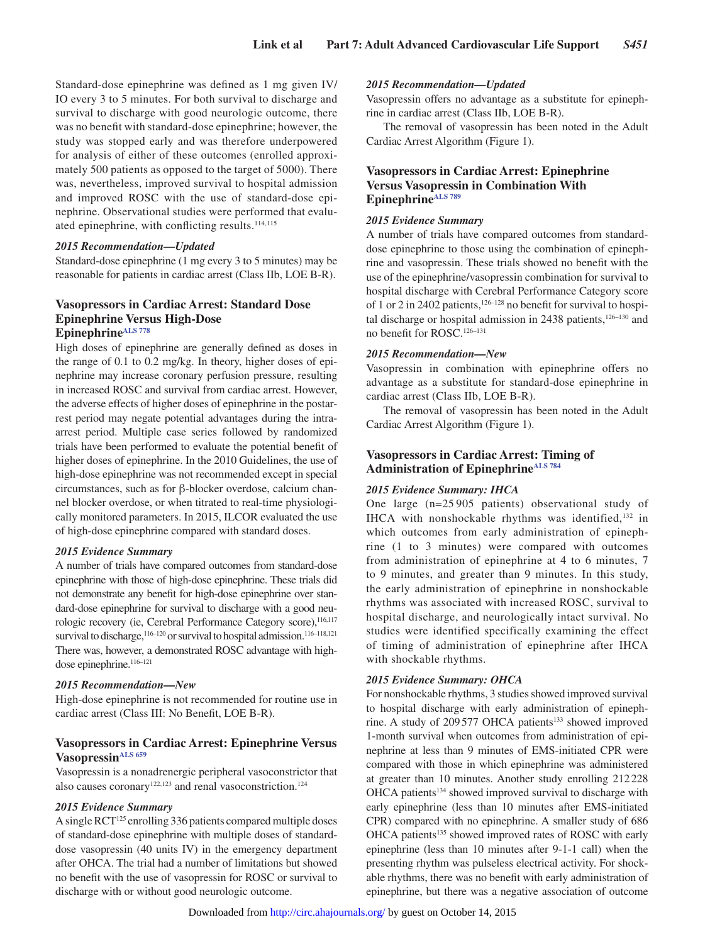Standard-dose epinephrine was defined as 1 mg given IV/ IO every 3 to 5 minutes. For both survival to discharge and survival to discharge with good neurologic outcome, there was no benefit with standard-dose epinephrine; however, the study was stopped early and was therefore underpowered for analysis of either of these outcomes (enrolled approximately 500 patients as opposed to the target of 5000). There was, nevertheless, improved survival to hospital admission and improved ROSC with the use of standard-dose epinephrine. Observational studies were performed that evaluated epinephrine, with conflicting results.<sup>114,115</sup>

#### *2015 Recommendation—Updated*

Standard-dose epinephrine (1 mg every 3 to 5 minutes) may be reasonable for patients in cardiac arrest (Class IIb, LOE B-R).

### **Vasopressors in Cardiac Arrest: Standard Dose Epinephrine Versus High-Dose Epinephrin[eALS 778](https://volunteer.heart.org/apps/pico/Pages/PublicComment.aspx?q=778)**

High doses of epinephrine are generally defined as doses in the range of 0.1 to 0.2 mg/kg. In theory, higher doses of epinephrine may increase coronary perfusion pressure, resulting in increased ROSC and survival from cardiac arrest. However, the adverse effects of higher doses of epinephrine in the postarrest period may negate potential advantages during the intraarrest period. Multiple case series followed by randomized trials have been performed to evaluate the potential benefit of higher doses of epinephrine. In the 2010 Guidelines, the use of high-dose epinephrine was not recommended except in special circumstances, such as for β-blocker overdose, calcium channel blocker overdose, or when titrated to real-time physiologically monitored parameters. In 2015, ILCOR evaluated the use of high-dose epinephrine compared with standard doses.

#### *2015 Evidence Summary*

A number of trials have compared outcomes from standard-dose epinephrine with those of high-dose epinephrine. These trials did not demonstrate any benefit for high-dose epinephrine over standard-dose epinephrine for survival to discharge with a good neurologic recovery (ie, Cerebral Performance Category score), 116,117 survival to discharge,  $116-120$  or survival to hospital admission.  $116-118,121$ There was, however, a demonstrated ROSC advantage with highdose epinephrine.<sup>116-121</sup>

#### *2015 Recommendation—New*

High-dose epinephrine is not recommended for routine use in cardiac arrest (Class III: No Benefit, LOE B-R).

### **Vasopressors in Cardiac Arrest: Epinephrine Versus Vasopressi[nALS 659](https://volunteer.heart.org/apps/pico/Pages/PublicComment.aspx?q=659)**

Vasopressin is a nonadrenergic peripheral vasoconstrictor that also causes coronary<sup>122,123</sup> and renal vasoconstriction.<sup>124</sup>

### *2015 Evidence Summary*

A single RCT125 enrolling 336 patients compared multiple doses of standard-dose epinephrine with multiple doses of standarddose vasopressin (40 units IV) in the emergency department after OHCA. The trial had a number of limitations but showed no benefit with the use of vasopressin for ROSC or survival to discharge with or without good neurologic outcome.

#### *2015 Recommendation—Updated*

Vasopressin offers no advantage as a substitute for epinephrine in cardiac arrest (Class IIb, LOE B-R).

The removal of vasopressin has been noted in the Adult Cardiac Arrest Algorithm (Figure 1).

### **Vasopressors in Cardiac Arrest: Epinephrine Versus Vasopressin in Combination With Epinephrin[eALS 789](https://volunteer.heart.org/apps/pico/Pages/PublicComment.aspx?q=789)**

#### *2015 Evidence Summary*

A number of trials have compared outcomes from standarddose epinephrine to those using the combination of epinephrine and vasopressin. These trials showed no benefit with the use of the epinephrine/vasopressin combination for survival to hospital discharge with Cerebral Performance Category score of 1 or 2 in 2402 patients,<sup>126–128</sup> no benefit for survival to hospital discharge or hospital admission in 2438 patients, $126-130$  and no benefit for ROSC.126–131

#### *2015 Recommendation—New*

Vasopressin in combination with epinephrine offers no advantage as a substitute for standard-dose epinephrine in cardiac arrest (Class IIb, LOE B-R).

The removal of vasopressin has been noted in the Adult Cardiac Arrest Algorithm (Figure 1).

### **Vasopressors in Cardiac Arrest: Timing of Administration of Epinephrine[ALS 784](https://volunteer.heart.org/apps/pico/Pages/PublicComment.aspx?q=784)**

### *2015 Evidence Summary: IHCA*

One large (n=25 905 patients) observational study of IHCA with nonshockable rhythms was identified,<sup>132</sup> in which outcomes from early administration of epinephrine (1 to 3 minutes) were compared with outcomes from administration of epinephrine at 4 to 6 minutes, 7 to 9 minutes, and greater than 9 minutes. In this study, the early administration of epinephrine in nonshockable rhythms was associated with increased ROSC, survival to hospital discharge, and neurologically intact survival. No studies were identified specifically examining the effect of timing of administration of epinephrine after IHCA with shockable rhythms.

#### *2015 Evidence Summary: OHCA*

For nonshockable rhythms, 3 studies showed improved survival to hospital discharge with early administration of epinephrine. A study of 209577 OHCA patients<sup>133</sup> showed improved 1-month survival when outcomes from administration of epinephrine at less than 9 minutes of EMS-initiated CPR were compared with those in which epinephrine was administered at greater than 10 minutes. Another study enrolling 212228 OHCA patients<sup>134</sup> showed improved survival to discharge with early epinephrine (less than 10 minutes after EMS-initiated CPR) compared with no epinephrine. A smaller study of 686 OHCA patients<sup>135</sup> showed improved rates of ROSC with early epinephrine (less than 10 minutes after 9-1-1 call) when the presenting rhythm was pulseless electrical activity. For shockable rhythms, there was no benefit with early administration of epinephrine, but there was a negative association of outcome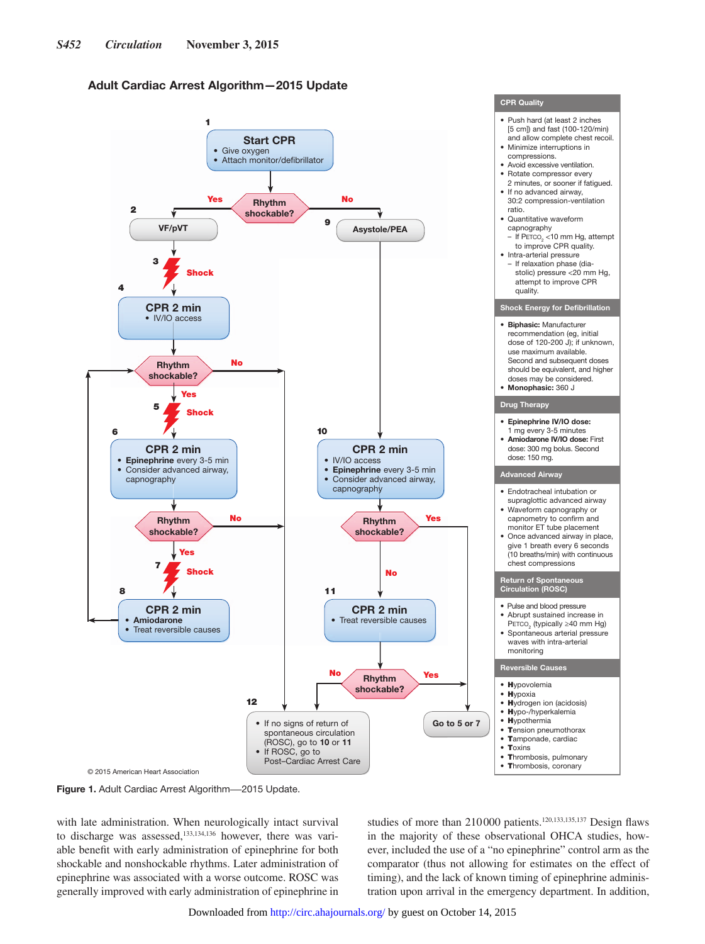### Adult Cardiac Arrest Algorithm—2015 Update





with late administration. When neurologically intact survival to discharge was assessed,<sup>133,134,136</sup> however, there was variable benefit with early administration of epinephrine for both shockable and nonshockable rhythms. Later administration of epinephrine was associated with a worse outcome. ROSC was generally improved with early administration of epinephrine in studies of more than 210000 patients.<sup>120,133,135,137</sup> Design flaws in the majority of these observational OHCA studies, however, included the use of a "no epinephrine" control arm as the comparator (thus not allowing for estimates on the effect of timing), and the lack of known timing of epinephrine administration upon arrival in the emergency department. In addition,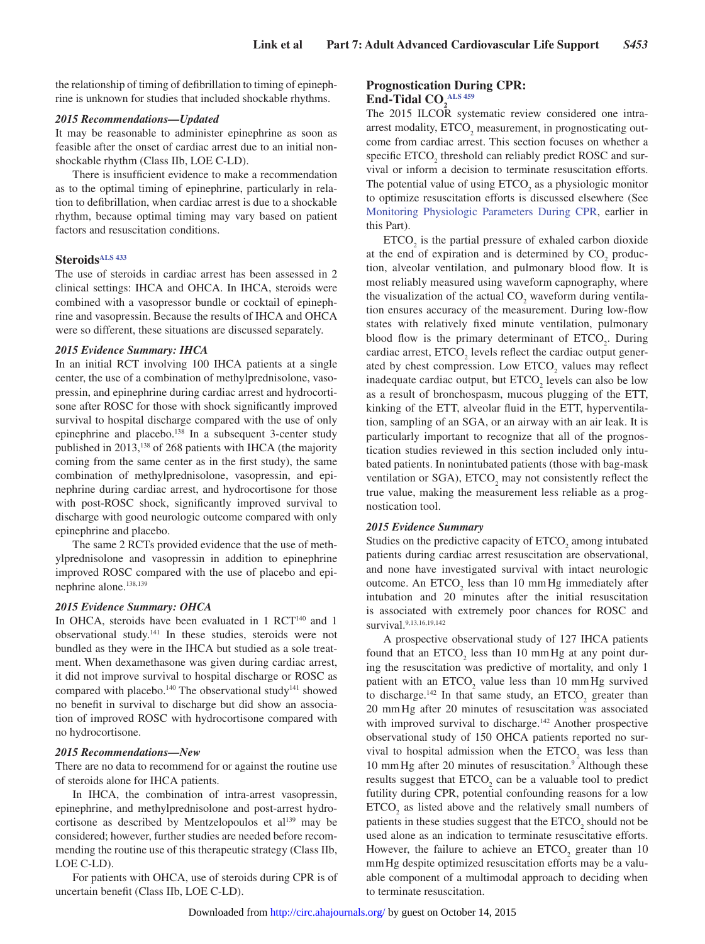the relationship of timing of defibrillation to timing of epinephrine is unknown for studies that included shockable rhythms.

#### *2015 Recommendations—Updated*

It may be reasonable to administer epinephrine as soon as feasible after the onset of cardiac arrest due to an initial nonshockable rhythm (Class IIb, LOE C-LD).

There is insufficient evidence to make a recommendation as to the optimal timing of epinephrine, particularly in relation to defibrillation, when cardiac arrest is due to a shockable rhythm, because optimal timing may vary based on patient factors and resuscitation conditions.

### **Steroids[ALS 433](https://volunteer.heart.org/apps/pico/Pages/PublicComment.aspx?q=433)**

The use of steroids in cardiac arrest has been assessed in 2 clinical settings: IHCA and OHCA. In IHCA, steroids were combined with a vasopressor bundle or cocktail of epinephrine and vasopressin. Because the results of IHCA and OHCA were so different, these situations are discussed separately.

#### *2015 Evidence Summary: IHCA*

In an initial RCT involving 100 IHCA patients at a single center, the use of a combination of methylprednisolone, vasopressin, and epinephrine during cardiac arrest and hydrocortisone after ROSC for those with shock significantly improved survival to hospital discharge compared with the use of only epinephrine and placebo.<sup>138</sup> In a subsequent 3-center study published in 2013,<sup>138</sup> of 268 patients with IHCA (the majority coming from the same center as in the first study), the same combination of methylprednisolone, vasopressin, and epinephrine during cardiac arrest, and hydrocortisone for those with post-ROSC shock, significantly improved survival to discharge with good neurologic outcome compared with only epinephrine and placebo.

The same 2 RCTs provided evidence that the use of methylprednisolone and vasopressin in addition to epinephrine improved ROSC compared with the use of placebo and epinephrine alone.<sup>138,139</sup>

#### *2015 Evidence Summary: OHCA*

In OHCA, steroids have been evaluated in 1 RCT<sup>140</sup> and 1 observational study.141 In these studies, steroids were not bundled as they were in the IHCA but studied as a sole treatment. When dexamethasone was given during cardiac arrest, it did not improve survival to hospital discharge or ROSC as compared with placebo.<sup>140</sup> The observational study<sup>141</sup> showed no benefit in survival to discharge but did show an association of improved ROSC with hydrocortisone compared with no hydrocortisone.

#### *2015 Recommendations—New*

There are no data to recommend for or against the routine use of steroids alone for IHCA patients.

In IHCA, the combination of intra-arrest vasopressin, epinephrine, and methylprednisolone and post-arrest hydrocortisone as described by Mentzelopoulos et al<sup>139</sup> may be considered; however, further studies are needed before recommending the routine use of this therapeutic strategy (Class IIb, LOE C-LD).

For patients with OHCA, use of steroids during CPR is of uncertain benefit (Class IIb, LOE C-LD).

## **Prognostication During CPR: End-Tidal CO<sub>2</sub>**<sup>[ALS 459](https://volunteer.heart.org/apps/pico/Pages/PublicComment.aspx?q=459)</sup>

The 2015 ILCOR systematic review considered one intraarrest modality,  $ETCO<sub>2</sub>$  measurement, in prognosticating outcome from cardiac arrest. This section focuses on whether a specific  $ETCO<sub>2</sub>$  threshold can reliably predict ROSC and survival or inform a decision to terminate resuscitation efforts. The potential value of using  $ETCO<sub>2</sub>$  as a physiologic monitor to optimize resuscitation efforts is discussed elsewhere (See [Monitoring Physiologic Parameters During CPR,](https://volunteer.heart.org/apps/pico/pages/question.aspx?questionid=656) earlier in this Part).

 $ETCO<sub>2</sub>$  is the partial pressure of exhaled carbon dioxide at the end of expiration and is determined by  $CO<sub>2</sub>$  production, alveolar ventilation, and pulmonary blood flow. It is most reliably measured using waveform capnography, where the visualization of the actual  $CO_2$  waveform during ventilation ensures accuracy of the measurement. During low-flow states with relatively fixed minute ventilation, pulmonary blood flow is the primary determinant of  $ETCO<sub>2</sub>$ . During cardiac arrest,  $ETCO<sub>2</sub>$  levels reflect the cardiac output generated by chest compression. Low  $ETCO<sub>2</sub>$  values may reflect inadequate cardiac output, but  $ETCO<sub>2</sub>$  levels can also be low as a result of bronchospasm, mucous plugging of the ETT, kinking of the ETT, alveolar fluid in the ETT, hyperventilation, sampling of an SGA, or an airway with an air leak. It is particularly important to recognize that all of the prognostication studies reviewed in this section included only intubated patients. In nonintubated patients (those with bag-mask ventilation or  $SGA$ ),  $ETCO<sub>2</sub>$  may not consistently reflect the true value, making the measurement less reliable as a prognostication tool.

#### *2015 Evidence Summary*

Studies on the predictive capacity of  $\text{ETCO}_2$  among intubated patients during cardiac arrest resuscitation are observational, and none have investigated survival with intact neurologic outcome. An  $ETCO<sub>2</sub>$  less than 10 mmHg immediately after intubation and 20 minutes after the initial resuscitation is associated with extremely poor chances for ROSC and survival.<sup>9,13,16,19,142</sup>

A prospective observational study of 127 IHCA patients found that an  $ETCO<sub>2</sub>$  less than 10 mm Hg at any point during the resuscitation was predictive of mortality, and only 1 patient with an  $ETCO<sub>2</sub>$  value less than 10 mmHg survived to discharge.<sup>142</sup> In that same study, an  $ETCO<sub>2</sub>$  greater than 20 mmHg after 20 minutes of resuscitation was associated with improved survival to discharge.<sup>142</sup> Another prospective observational study of 150 OHCA patients reported no survival to hospital admission when the  $ETCO<sub>2</sub>$  was less than 10 mmHg after 20 minutes of resuscitation.9 Although these results suggest that  $ETCO<sub>2</sub>$  can be a valuable tool to predict futility during CPR, potential confounding reasons for a low  $ETCO<sub>2</sub>$  as listed above and the relatively small numbers of patients in these studies suggest that the  $ETCO<sub>2</sub>$  should not be used alone as an indication to terminate resuscitative efforts. However, the failure to achieve an  $ETCO<sub>2</sub>$  greater than 10 mmHg despite optimized resuscitation efforts may be a valuable component of a multimodal approach to deciding when to terminate resuscitation.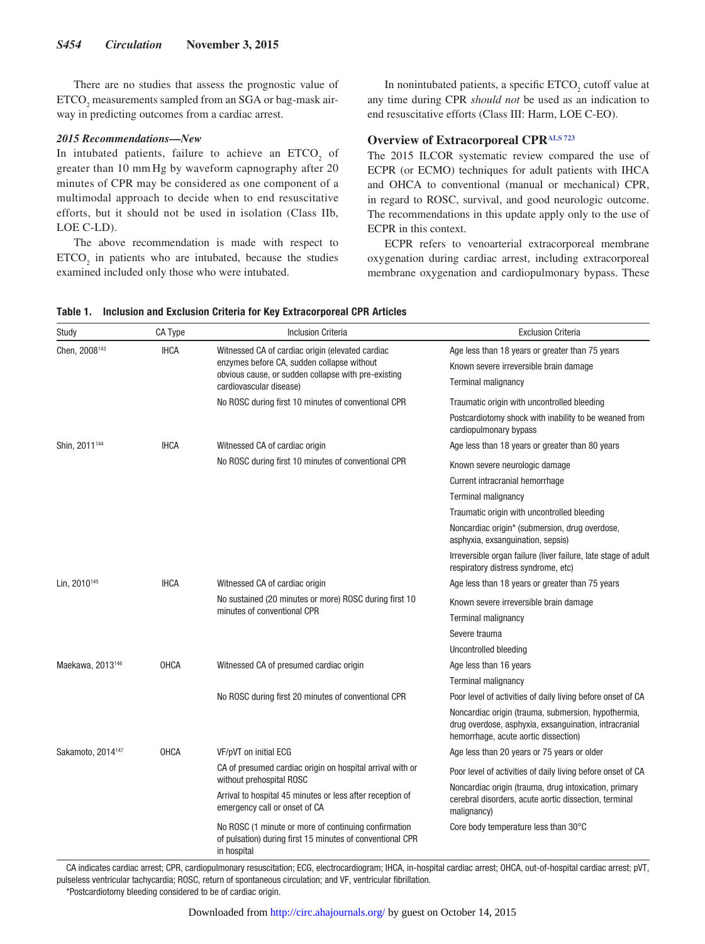There are no studies that assess the prognostic value of  $\mathrm{ETCO}_2$  measurements sampled from an SGA or bag-mask airway in predicting outcomes from a cardiac arrest.

#### *2015 Recommendations—New*

In intubated patients, failure to achieve an  $ETCO<sub>2</sub>$  of greater than 10 mm Hg by waveform capnography after 20 minutes of CPR may be considered as one component of a multimodal approach to decide when to end resuscitative efforts, but it should not be used in isolation (Class IIb, LOE C-LD).

The above recommendation is made with respect to  $ETCO<sub>2</sub>$  in patients who are intubated, because the studies examined included only those who were intubated.

In nonintubated patients, a specific  $\text{ETCO}_2$  cutoff value at any time during CPR *should not* be used as an indication to end resuscitative efforts (Class III: Harm, LOE C-EO).

### **Overview of Extracorporeal CPR[ALS 723](https://volunteer.heart.org/apps/pico/Pages/PublicComment.aspx?q=723)**

The 2015 ILCOR systematic review compared the use of ECPR (or ECMO) techniques for adult patients with IHCA and OHCA to conventional (manual or mechanical) CPR, in regard to ROSC, survival, and good neurologic outcome. The recommendations in this update apply only to the use of ECPR in this context.

ECPR refers to venoarterial extracorporeal membrane oxygenation during cardiac arrest, including extracorporeal membrane oxygenation and cardiopulmonary bypass. These

| Study                         | CA Type     | <b>Inclusion Criteria</b>                                                                                                                                                        | <b>Exclusion Criteria</b>                                                                                                      |                                                                                                                                                      |
|-------------------------------|-------------|----------------------------------------------------------------------------------------------------------------------------------------------------------------------------------|--------------------------------------------------------------------------------------------------------------------------------|------------------------------------------------------------------------------------------------------------------------------------------------------|
| Chen, 2008 <sup>143</sup>     | <b>IHCA</b> | Witnessed CA of cardiac origin (elevated cardiac<br>enzymes before CA, sudden collapse without<br>obvious cause, or sudden collapse with pre-existing<br>cardiovascular disease) | Age less than 18 years or greater than 75 years<br>Known severe irreversible brain damage<br><b>Terminal malignancy</b>        |                                                                                                                                                      |
|                               |             | No ROSC during first 10 minutes of conventional CPR                                                                                                                              | Traumatic origin with uncontrolled bleeding<br>Postcardiotomy shock with inability to be weaned from<br>cardiopulmonary bypass |                                                                                                                                                      |
| Shin, 2011 <sup>144</sup>     | <b>IHCA</b> | Witnessed CA of cardiac origin                                                                                                                                                   | Age less than 18 years or greater than 80 years                                                                                |                                                                                                                                                      |
|                               |             | No ROSC during first 10 minutes of conventional CPR                                                                                                                              | Known severe neurologic damage                                                                                                 |                                                                                                                                                      |
|                               |             |                                                                                                                                                                                  | Current intracranial hemorrhage                                                                                                |                                                                                                                                                      |
|                               |             |                                                                                                                                                                                  | <b>Terminal malignancy</b>                                                                                                     |                                                                                                                                                      |
|                               |             |                                                                                                                                                                                  | Traumatic origin with uncontrolled bleeding                                                                                    |                                                                                                                                                      |
|                               |             |                                                                                                                                                                                  | Noncardiac origin* (submersion, drug overdose,<br>asphyxia, exsanguination, sepsis)                                            |                                                                                                                                                      |
|                               |             |                                                                                                                                                                                  | Irreversible organ failure (liver failure, late stage of adult<br>respiratory distress syndrome, etc)                          |                                                                                                                                                      |
| Lin, 2010 <sup>145</sup>      | <b>IHCA</b> | Witnessed CA of cardiac origin                                                                                                                                                   | Age less than 18 years or greater than 75 years                                                                                |                                                                                                                                                      |
|                               |             | No sustained (20 minutes or more) ROSC during first 10<br>minutes of conventional CPR                                                                                            | Known severe irreversible brain damage                                                                                         |                                                                                                                                                      |
|                               |             |                                                                                                                                                                                  | <b>Terminal malignancy</b>                                                                                                     |                                                                                                                                                      |
|                               |             |                                                                                                                                                                                  | Severe trauma                                                                                                                  |                                                                                                                                                      |
|                               |             |                                                                                                                                                                                  | Uncontrolled bleeding                                                                                                          |                                                                                                                                                      |
| Maekawa, 2013 <sup>146</sup>  | <b>OHCA</b> | Witnessed CA of presumed cardiac origin                                                                                                                                          | Age less than 16 years                                                                                                         |                                                                                                                                                      |
|                               |             |                                                                                                                                                                                  | <b>Terminal malignancy</b>                                                                                                     |                                                                                                                                                      |
|                               |             |                                                                                                                                                                                  | No ROSC during first 20 minutes of conventional CPR                                                                            | Poor level of activities of daily living before onset of CA                                                                                          |
|                               |             |                                                                                                                                                                                  |                                                                                                                                | Noncardiac origin (trauma, submersion, hypothermia,<br>drug overdose, asphyxia, exsanguination, intracranial<br>hemorrhage, acute aortic dissection) |
| Sakamoto, 2014 <sup>147</sup> | <b>OHCA</b> | VF/pVT on initial ECG                                                                                                                                                            | Age less than 20 years or 75 years or older                                                                                    |                                                                                                                                                      |
|                               |             | CA of presumed cardiac origin on hospital arrival with or<br>without prehospital ROSC                                                                                            | Poor level of activities of daily living before onset of CA                                                                    |                                                                                                                                                      |
|                               |             | Arrival to hospital 45 minutes or less after reception of<br>emergency call or onset of CA                                                                                       | Noncardiac origin (trauma, drug intoxication, primary<br>cerebral disorders, acute aortic dissection, terminal<br>malignancy)  |                                                                                                                                                      |
|                               |             | No ROSC (1 minute or more of continuing confirmation<br>of pulsation) during first 15 minutes of conventional CPR<br>in hospital                                                 | Core body temperature less than 30°C                                                                                           |                                                                                                                                                      |

**Table 1. Inclusion and Exclusion Criteria for Key Extracorporeal CPR Articles**

CA indicates cardiac arrest; CPR, cardiopulmonary resuscitation; ECG, electrocardiogram; IHCA, in-hospital cardiac arrest; DHCA, out-of-hospital cardiac arrest; pVT, pulseless ventricular tachycardia; ROSC, return of spontaneous circulation; and VF, ventricular fibrillation. \*Postcardiotomy bleeding considered to be of cardiac origin.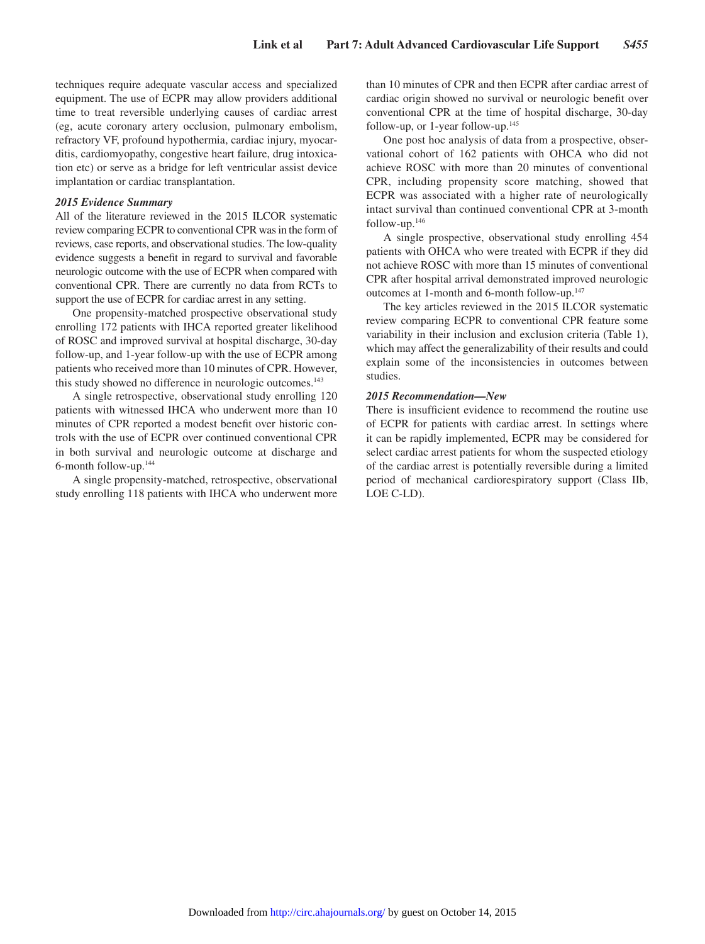techniques require adequate vascular access and specialized equipment. The use of ECPR may allow providers additional time to treat reversible underlying causes of cardiac arrest (eg, acute coronary artery occlusion, pulmonary embolism, refractory VF, profound hypothermia, cardiac injury, myocarditis, cardiomyopathy, congestive heart failure, drug intoxication etc) or serve as a bridge for left ventricular assist device implantation or cardiac transplantation.

#### *2015 Evidence Summary*

All of the literature reviewed in the 2015 ILCOR systematic review comparing ECPR to conventional CPR was in the form of reviews, case reports, and observational studies. The low-quality evidence suggests a benefit in regard to survival and favorable neurologic outcome with the use of ECPR when compared with conventional CPR. There are currently no data from RCTs to support the use of ECPR for cardiac arrest in any setting.

One propensity-matched prospective observational study enrolling 172 patients with IHCA reported greater likelihood of ROSC and improved survival at hospital discharge, 30-day follow-up, and 1-year follow-up with the use of ECPR among patients who received more than 10 minutes of CPR. However, this study showed no difference in neurologic outcomes.<sup>143</sup>

A single retrospective, observational study enrolling 120 patients with witnessed IHCA who underwent more than 10 minutes of CPR reported a modest benefit over historic controls with the use of ECPR over continued conventional CPR in both survival and neurologic outcome at discharge and 6-month follow-up.144

A single propensity-matched, retrospective, observational study enrolling 118 patients with IHCA who underwent more than 10 minutes of CPR and then ECPR after cardiac arrest of cardiac origin showed no survival or neurologic benefit over conventional CPR at the time of hospital discharge, 30-day follow-up, or 1-year follow-up.145

One post hoc analysis of data from a prospective, observational cohort of 162 patients with OHCA who did not achieve ROSC with more than 20 minutes of conventional CPR, including propensity score matching, showed that ECPR was associated with a higher rate of neurologically intact survival than continued conventional CPR at 3-month follow-up.146

A single prospective, observational study enrolling 454 patients with OHCA who were treated with ECPR if they did not achieve ROSC with more than 15 minutes of conventional CPR after hospital arrival demonstrated improved neurologic outcomes at 1-month and 6-month follow-up.<sup>147</sup>

The key articles reviewed in the 2015 ILCOR systematic review comparing ECPR to conventional CPR feature some variability in their inclusion and exclusion criteria (Table 1), which may affect the generalizability of their results and could explain some of the inconsistencies in outcomes between studies.

#### *2015 Recommendation—New*

There is insufficient evidence to recommend the routine use of ECPR for patients with cardiac arrest. In settings where it can be rapidly implemented, ECPR may be considered for select cardiac arrest patients for whom the suspected etiology of the cardiac arrest is potentially reversible during a limited period of mechanical cardiorespiratory support (Class IIb, LOE C-LD).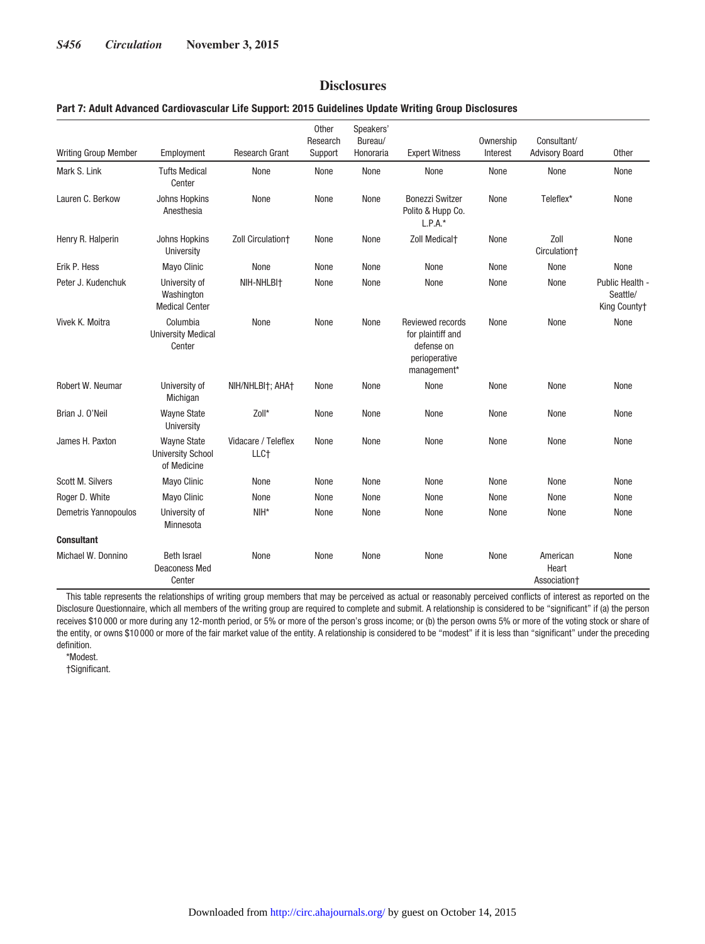### **Disclosures**

### **Part 7: Adult Advanced Cardiovascular Life Support: 2015 Guidelines Update Writing Group Disclosures**

| <b>Writing Group Member</b> | Employment                                                    | <b>Research Grant</b>                     | Other<br>Research<br>Support | Speakers'<br>Bureau/<br>Honoraria | <b>Expert Witness</b>                                                               | Ownership<br>Interest | Consultant/<br><b>Advisory Board</b> | <b>Other</b>                                |
|-----------------------------|---------------------------------------------------------------|-------------------------------------------|------------------------------|-----------------------------------|-------------------------------------------------------------------------------------|-----------------------|--------------------------------------|---------------------------------------------|
| Mark S. Link                | <b>Tufts Medical</b><br>Center                                | None                                      | None                         | None                              | None                                                                                | None                  | None                                 | None                                        |
| Lauren C. Berkow            | Johns Hopkins<br>Anesthesia                                   | None                                      | None                         | None                              | <b>Bonezzi Switzer</b><br>Polito & Hupp Co.<br>$L.P.A.*$                            | None                  | Teleflex*                            | None                                        |
| Henry R. Halperin           | Johns Hopkins<br>University                                   | Zoll Circulation+                         | None                         | None                              | <b>Zoll Medicalt</b>                                                                | None                  | Zoll<br>Circulation+                 | None                                        |
| Erik P. Hess                | <b>Mayo Clinic</b>                                            | None                                      | None                         | None                              | None                                                                                | None                  | None                                 | None                                        |
| Peter J. Kudenchuk          | University of<br>Washington<br><b>Medical Center</b>          | NIH-NHLBI <sup>+</sup>                    | None                         | None                              | None                                                                                | None                  | None                                 | Public Health -<br>Seattle/<br>King County+ |
| Vivek K. Moitra             | Columbia<br><b>University Medical</b><br>Center               | None                                      | None                         | None                              | Reviewed records<br>for plaintiff and<br>defense on<br>perioperative<br>management* | None                  | None                                 | None                                        |
| Robert W. Neumar            | University of<br>Michigan                                     | NIH/NHLBI <sup>+</sup> ; AHA <sup>+</sup> | None                         | None                              | None                                                                                | None                  | None                                 | None                                        |
| Brian J. O'Neil             | <b>Wavne State</b><br>University                              | Zoll*                                     | None                         | None                              | None                                                                                | None                  | None                                 | None                                        |
| James H. Paxton             | <b>Wayne State</b><br><b>University School</b><br>of Medicine | Vidacare / Teleflex<br>LLC <sup>+</sup>   | None                         | None                              | None                                                                                | None                  | None                                 | None                                        |
| Scott M. Silvers            | <b>Mayo Clinic</b>                                            | None                                      | None                         | None                              | None                                                                                | None                  | None                                 | None                                        |
| Roger D. White              | <b>Mayo Clinic</b>                                            | None                                      | None                         | None                              | None                                                                                | None                  | None                                 | None                                        |
| <b>Demetris Yannopoulos</b> | University of<br>Minnesota                                    | $NIH*$                                    | None                         | None                              | None                                                                                | None                  | None                                 | None                                        |
| <b>Consultant</b>           |                                                               |                                           |                              |                                   |                                                                                     |                       |                                      |                                             |
| Michael W. Donnino          | <b>Beth Israel</b><br><b>Deaconess Med</b><br>Center          | None                                      | None                         | None                              | None                                                                                | None                  | American<br>Heart<br>Association+    | None                                        |

This table represents the relationships of writing group members that may be perceived as actual or reasonably perceived conflicts of interest as reported on the Disclosure Questionnaire, which all members of the writing group are required to complete and submit. A relationship is considered to be "significant" if (a) the person receives \$10 000 or more during any 12-month period, or 5% or more of the person's gross income; or (b) the person owns 5% or more of the voting stock or share of the entity, or owns \$10 000 or more of the fair market value of the entity. A relationship is considered to be "modest" if it is less than "significant" under the preceding definition.

\*Modest.

†Significant.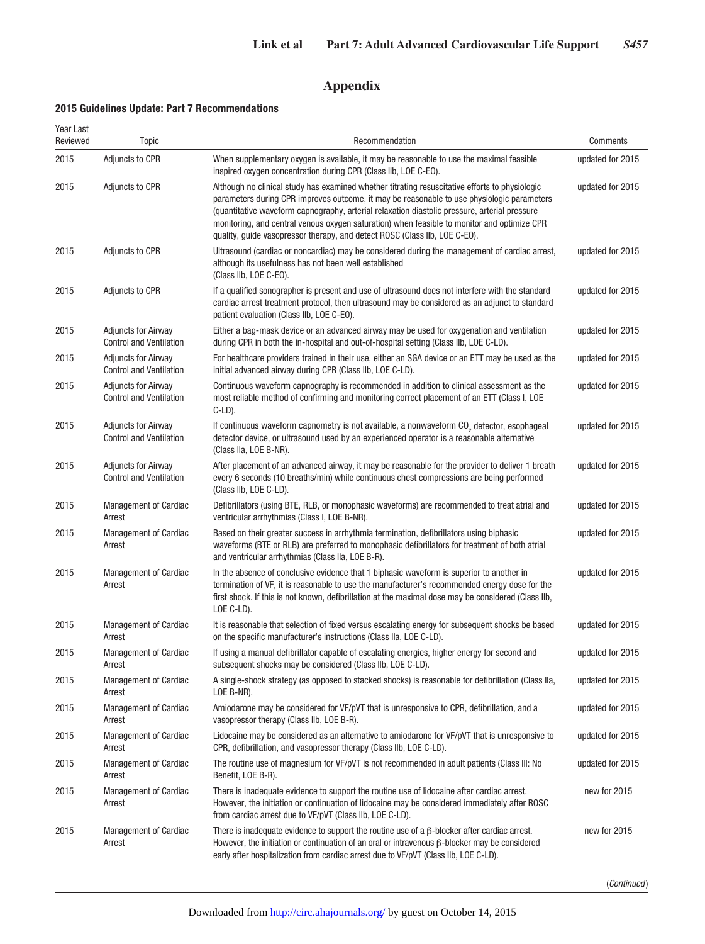# **Appendix**

### **2015 Guidelines Update: Part 7 Recommendations**

| Year Last<br>Reviewed | <b>Topic</b>                                                 | Recommendation                                                                                                                                                                                                                                                                                                                                                                                                                                                             | Comments         |  |
|-----------------------|--------------------------------------------------------------|----------------------------------------------------------------------------------------------------------------------------------------------------------------------------------------------------------------------------------------------------------------------------------------------------------------------------------------------------------------------------------------------------------------------------------------------------------------------------|------------------|--|
| 2015                  | Adjuncts to CPR                                              | When supplementary oxygen is available, it may be reasonable to use the maximal feasible<br>inspired oxygen concentration during CPR (Class IIb, LOE C-EO).                                                                                                                                                                                                                                                                                                                | updated for 2015 |  |
| 2015                  | Adjuncts to CPR                                              | Although no clinical study has examined whether titrating resuscitative efforts to physiologic<br>parameters during CPR improves outcome, it may be reasonable to use physiologic parameters<br>(quantitative waveform capnography, arterial relaxation diastolic pressure, arterial pressure<br>monitoring, and central venous oxygen saturation) when feasible to monitor and optimize CPR<br>quality, guide vasopressor therapy, and detect ROSC (Class IIb, LOE C-EO). | updated for 2015 |  |
| 2015                  | Adjuncts to CPR                                              | Ultrasound (cardiac or noncardiac) may be considered during the management of cardiac arrest,<br>although its usefulness has not been well established<br>(Class IIb, LOE C-EO).                                                                                                                                                                                                                                                                                           | updated for 2015 |  |
| 2015                  | Adjuncts to CPR                                              | If a qualified sonographer is present and use of ultrasound does not interfere with the standard<br>cardiac arrest treatment protocol, then ultrasound may be considered as an adjunct to standard<br>patient evaluation (Class IIb, LOE C-EO).                                                                                                                                                                                                                            | updated for 2015 |  |
| 2015                  | <b>Adjuncts for Airway</b><br><b>Control and Ventilation</b> | Either a bag-mask device or an advanced airway may be used for oxygenation and ventilation<br>during CPR in both the in-hospital and out-of-hospital setting (Class IIb, LOE C-LD).                                                                                                                                                                                                                                                                                        | updated for 2015 |  |
| 2015                  | <b>Adjuncts for Airway</b><br><b>Control and Ventilation</b> | For healthcare providers trained in their use, either an SGA device or an ETT may be used as the<br>initial advanced airway during CPR (Class IIb, LOE C-LD).                                                                                                                                                                                                                                                                                                              | updated for 2015 |  |
| 2015                  | <b>Adjuncts for Airway</b><br><b>Control and Ventilation</b> | Continuous waveform capnography is recommended in addition to clinical assessment as the<br>most reliable method of confirming and monitoring correct placement of an ETT (Class I, LOE<br>$C-LD$ ).                                                                                                                                                                                                                                                                       | updated for 2015 |  |
| 2015                  | <b>Adjuncts for Airway</b><br><b>Control and Ventilation</b> | If continuous waveform capnometry is not available, a nonwaveform CO <sub>2</sub> detector, esophageal<br>detector device, or ultrasound used by an experienced operator is a reasonable alternative<br>(Class IIa, LOE B-NR).                                                                                                                                                                                                                                             | updated for 2015 |  |
| 2015                  | <b>Adjuncts for Airway</b><br><b>Control and Ventilation</b> | After placement of an advanced airway, it may be reasonable for the provider to deliver 1 breath<br>every 6 seconds (10 breaths/min) while continuous chest compressions are being performed<br>(Class IIb, LOE C-LD).                                                                                                                                                                                                                                                     | updated for 2015 |  |
| 2015                  | <b>Management of Cardiac</b><br>Arrest                       | Defibrillators (using BTE, RLB, or monophasic waveforms) are recommended to treat atrial and<br>ventricular arrhythmias (Class I, LOE B-NR).                                                                                                                                                                                                                                                                                                                               | updated for 2015 |  |
| 2015                  | <b>Management of Cardiac</b><br>Arrest                       | Based on their greater success in arrhythmia termination, defibrillators using biphasic<br>waveforms (BTE or RLB) are preferred to monophasic defibrillators for treatment of both atrial<br>and ventricular arrhythmias (Class IIa, LOE B-R).                                                                                                                                                                                                                             | updated for 2015 |  |
| 2015                  | <b>Management of Cardiac</b><br>Arrest                       | In the absence of conclusive evidence that 1 biphasic waveform is superior to another in<br>termination of VF, it is reasonable to use the manufacturer's recommended energy dose for the<br>first shock. If this is not known, defibrillation at the maximal dose may be considered (Class IIb,<br>LOE C-LD).                                                                                                                                                             | updated for 2015 |  |
| 2015                  | <b>Management of Cardiac</b><br>Arrest                       | It is reasonable that selection of fixed versus escalating energy for subsequent shocks be based<br>on the specific manufacturer's instructions (Class IIa, LOE C-LD).                                                                                                                                                                                                                                                                                                     | updated for 2015 |  |
| 2015                  | <b>Management of Cardiac</b><br>Arrest                       | If using a manual defibrillator capable of escalating energies, higher energy for second and<br>subsequent shocks may be considered (Class IIb, LOE C-LD).                                                                                                                                                                                                                                                                                                                 | updated for 2015 |  |
| 2015                  | <b>Management of Cardiac</b><br>Arrest                       | A single-shock strategy (as opposed to stacked shocks) is reasonable for defibrillation (Class IIa,<br>LOE B-NR).                                                                                                                                                                                                                                                                                                                                                          | updated for 2015 |  |
| 2015                  | <b>Management of Cardiac</b><br>Arrest                       | Amiodarone may be considered for VF/pVT that is unresponsive to CPR, defibrillation, and a<br>vasopressor therapy (Class IIb, LOE B-R).                                                                                                                                                                                                                                                                                                                                    | updated for 2015 |  |
| 2015                  | <b>Management of Cardiac</b><br>Arrest                       | Lidocaine may be considered as an alternative to amiodarone for $VF/pVT$ that is unresponsive to<br>CPR, defibrillation, and vasopressor therapy (Class IIb, LOE C-LD).                                                                                                                                                                                                                                                                                                    | updated for 2015 |  |
| 2015                  | <b>Management of Cardiac</b><br>Arrest                       | The routine use of magnesium for $VF/pVT$ is not recommended in adult patients (Class III: No<br>Benefit, LOE B-R).                                                                                                                                                                                                                                                                                                                                                        | updated for 2015 |  |
| 2015                  | <b>Management of Cardiac</b><br>Arrest                       | There is inadequate evidence to support the routine use of lidocaine after cardiac arrest.<br>However, the initiation or continuation of lidocaine may be considered immediately after ROSC<br>from cardiac arrest due to VF/pVT (Class IIb, LOE C-LD).                                                                                                                                                                                                                    | new for 2015     |  |
| 2015                  | <b>Management of Cardiac</b><br>Arrest                       | There is inadequate evidence to support the routine use of a $\beta$ -blocker after cardiac arrest.<br>However, the initiation or continuation of an oral or intravenous $\beta$ -blocker may be considered<br>early after hospitalization from cardiac arrest due to VF/pVT (Class IIb, LOE C-LD).                                                                                                                                                                        | new for 2015     |  |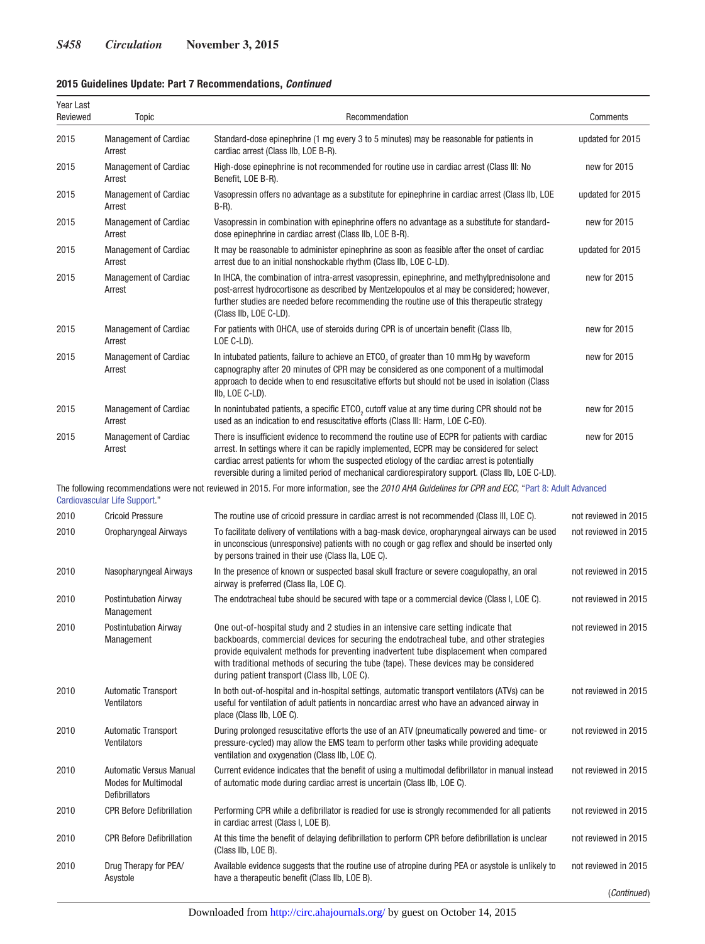### **2015 Guidelines Update: Part 7 Recommendations,** *Continued*

| Year Last<br>Reviewed | Topic                                                                    | Recommendation                                                                                                                                                                                                                                                                                                                                                                                                  | Comments             |
|-----------------------|--------------------------------------------------------------------------|-----------------------------------------------------------------------------------------------------------------------------------------------------------------------------------------------------------------------------------------------------------------------------------------------------------------------------------------------------------------------------------------------------------------|----------------------|
| 2015                  | <b>Management of Cardiac</b><br>Arrest                                   | Standard-dose epinephrine (1 mg every 3 to 5 minutes) may be reasonable for patients in<br>cardiac arrest (Class IIb, LOE B-R).                                                                                                                                                                                                                                                                                 | updated for 2015     |
| 2015                  | <b>Management of Cardiac</b><br>Arrest                                   | High-dose epinephrine is not recommended for routine use in cardiac arrest (Class III: No<br>Benefit, LOE B-R).                                                                                                                                                                                                                                                                                                 | new for 2015         |
| 2015                  | <b>Management of Cardiac</b><br>Arrest                                   | Vasopressin offers no advantage as a substitute for epinephrine in cardiac arrest (Class IIb, LOE<br>$B-R$ ).                                                                                                                                                                                                                                                                                                   | updated for 2015     |
| 2015                  | <b>Management of Cardiac</b><br>Arrest                                   | Vasopressin in combination with epinephrine offers no advantage as a substitute for standard-<br>dose epinephrine in cardiac arrest (Class IIb, LOE B-R).                                                                                                                                                                                                                                                       | new for 2015         |
| 2015                  | <b>Management of Cardiac</b><br>Arrest                                   | It may be reasonable to administer epinephrine as soon as feasible after the onset of cardiac<br>arrest due to an initial nonshockable rhythm (Class IIb, LOE C-LD).                                                                                                                                                                                                                                            | updated for 2015     |
| 2015                  | <b>Management of Cardiac</b><br>Arrest                                   | In IHCA, the combination of intra-arrest vasopressin, epinephrine, and methylprednisolone and<br>post-arrest hydrocortisone as described by Mentzelopoulos et al may be considered; however,<br>further studies are needed before recommending the routine use of this therapeutic strategy<br>(Class IIb, LOE C-LD).                                                                                           | new for 2015         |
| 2015                  | <b>Management of Cardiac</b><br>Arrest                                   | For patients with OHCA, use of steroids during CPR is of uncertain benefit (Class IIb,<br>LOE C-LD).                                                                                                                                                                                                                                                                                                            | new for 2015         |
| 2015                  | <b>Management of Cardiac</b><br>Arrest                                   | In intubated patients, failure to achieve an ETCO <sub>2</sub> of greater than 10 mm Hg by waveform<br>capnography after 20 minutes of CPR may be considered as one component of a multimodal<br>approach to decide when to end resuscitative efforts but should not be used in isolation (Class<br>IIb, LOE C-LD).                                                                                             | new for 2015         |
| 2015                  | <b>Management of Cardiac</b><br>Arrest                                   | In nonintubated patients, a specific ETCO, cutoff value at any time during CPR should not be<br>used as an indication to end resuscitative efforts (Class III: Harm, LOE C-EO).                                                                                                                                                                                                                                 | new for 2015         |
| 2015                  | <b>Management of Cardiac</b><br>Arrest                                   | There is insufficient evidence to recommend the routine use of ECPR for patients with cardiac<br>arrest. In settings where it can be rapidly implemented, ECPR may be considered for select<br>cardiac arrest patients for whom the suspected etiology of the cardiac arrest is potentially<br>reversible during a limited period of mechanical cardiorespiratory support. (Class IIb, LOE C-LD).               | new for 2015         |
|                       | Cardiovascular Life Support."                                            | The following recommendations were not reviewed in 2015. For more information, see the 2010 AHA Guidelines for CPR and ECC, "Part 8: Adult Advanced                                                                                                                                                                                                                                                             |                      |
| 2010                  | <b>Cricoid Pressure</b>                                                  | The routine use of cricoid pressure in cardiac arrest is not recommended (Class III, LOE C).                                                                                                                                                                                                                                                                                                                    | not reviewed in 2015 |
| 2010                  | Oropharyngeal Airways                                                    | To facilitate delivery of ventilations with a bag-mask device, oropharyngeal airways can be used<br>in unconscious (unresponsive) patients with no cough or gag reflex and should be inserted only<br>by persons trained in their use (Class IIa, LOE C).                                                                                                                                                       | not reviewed in 2015 |
| 2010                  | Nasopharyngeal Airways                                                   | In the presence of known or suspected basal skull fracture or severe coagulopathy, an oral<br>airway is preferred (Class IIa, LOE C).                                                                                                                                                                                                                                                                           | not reviewed in 2015 |
| 2010                  | <b>Postintubation Airway</b><br>Management                               | The endotracheal tube should be secured with tape or a commercial device (Class I, LOE C).                                                                                                                                                                                                                                                                                                                      | not reviewed in 2015 |
| 2010                  | <b>Postintubation Airway</b><br>Management                               | One out-of-hospital study and 2 studies in an intensive care setting indicate that<br>backboards, commercial devices for securing the endotracheal tube, and other strategies<br>provide equivalent methods for preventing inadvertent tube displacement when compared<br>with traditional methods of securing the tube (tape). These devices may be considered<br>during patient transport (Class IIb, LOE C). | not reviewed in 2015 |
| 2010                  | <b>Automatic Transport</b><br>Ventilators                                | In both out-of-hospital and in-hospital settings, automatic transport ventilators (ATVs) can be<br>useful for ventilation of adult patients in noncardiac arrest who have an advanced airway in<br>place (Class IIb, LOE C).                                                                                                                                                                                    | not reviewed in 2015 |
| 2010                  | Automatic Transport<br>Ventilators                                       | During prolonged resuscitative efforts the use of an ATV (pneumatically powered and time- or<br>pressure-cycled) may allow the EMS team to perform other tasks while providing adequate<br>ventilation and oxygenation (Class IIb, LOE C).                                                                                                                                                                      | not reviewed in 2015 |
| 2010                  | Automatic Versus Manual<br><b>Modes for Multimodal</b><br>Defibrillators | Current evidence indicates that the benefit of using a multimodal defibrillator in manual instead<br>of automatic mode during cardiac arrest is uncertain (Class IIb, LOE C).                                                                                                                                                                                                                                   | not reviewed in 2015 |
| 2010                  | <b>CPR Before Defibrillation</b>                                         | Performing CPR while a defibrillator is readied for use is strongly recommended for all patients<br>in cardiac arrest (Class I, LOE B).                                                                                                                                                                                                                                                                         | not reviewed in 2015 |
| 2010                  | <b>CPR Before Defibrillation</b>                                         | At this time the benefit of delaying defibrillation to perform CPR before defibrillation is unclear<br>(Class IIb, LOE B).                                                                                                                                                                                                                                                                                      | not reviewed in 2015 |
| 2010                  | Drug Therapy for PEA/<br>Asystole                                        | Available evidence suggests that the routine use of atropine during PEA or asystole is unlikely to<br>have a therapeutic benefit (Class IIb, LOE B).                                                                                                                                                                                                                                                            | not reviewed in 2015 |
|                       |                                                                          |                                                                                                                                                                                                                                                                                                                                                                                                                 | (Continued)          |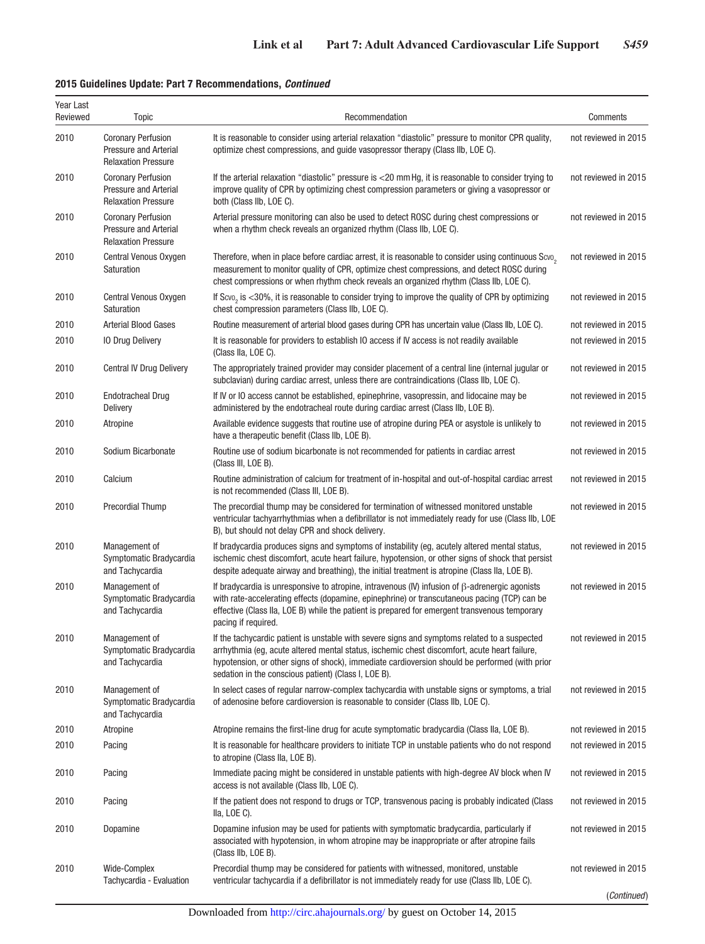### **2015 Guidelines Update: Part 7 Recommendations,** *Continued*

| Year Last<br>Reviewed | Topic                                                                                   | Recommendation                                                                                                                                                                                                                                                                                                                                         | Comments             |
|-----------------------|-----------------------------------------------------------------------------------------|--------------------------------------------------------------------------------------------------------------------------------------------------------------------------------------------------------------------------------------------------------------------------------------------------------------------------------------------------------|----------------------|
| 2010                  | <b>Coronary Perfusion</b><br><b>Pressure and Arterial</b><br><b>Relaxation Pressure</b> | It is reasonable to consider using arterial relaxation "diastolic" pressure to monitor CPR quality,<br>optimize chest compressions, and guide vasopressor therapy (Class IIb, LOE C).                                                                                                                                                                  | not reviewed in 2015 |
| 2010                  | <b>Coronary Perfusion</b><br><b>Pressure and Arterial</b><br><b>Relaxation Pressure</b> | If the arterial relaxation "diastolic" pressure is <20 mm Hg, it is reasonable to consider trying to<br>improve quality of CPR by optimizing chest compression parameters or giving a vasopressor or<br>both (Class IIb, LOE C).                                                                                                                       | not reviewed in 2015 |
| 2010                  | <b>Coronary Perfusion</b><br><b>Pressure and Arterial</b><br><b>Relaxation Pressure</b> | Arterial pressure monitoring can also be used to detect ROSC during chest compressions or<br>when a rhythm check reveals an organized rhythm (Class IIb, LOE C).                                                                                                                                                                                       | not reviewed in 2015 |
| 2010                  | Central Venous Oxygen<br>Saturation                                                     | Therefore, when in place before cardiac arrest, it is reasonable to consider using continuous Scvo,<br>measurement to monitor quality of CPR, optimize chest compressions, and detect ROSC during<br>chest compressions or when rhythm check reveals an organized rhythm (Class IIb, LOE C).                                                           | not reviewed in 2015 |
| 2010                  | Central Venous Oxygen<br>Saturation                                                     | If Scvo <sub>2</sub> is <30%, it is reasonable to consider trying to improve the quality of CPR by optimizing<br>chest compression parameters (Class IIb, LOE C).                                                                                                                                                                                      | not reviewed in 2015 |
| 2010                  | <b>Arterial Blood Gases</b>                                                             | Routine measurement of arterial blood gases during CPR has uncertain value (Class IIb, LOE C).                                                                                                                                                                                                                                                         | not reviewed in 2015 |
| 2010                  | <b>10 Drug Delivery</b>                                                                 | It is reasonable for providers to establish IO access if IV access is not readily available<br>(Class IIa, LOE C).                                                                                                                                                                                                                                     | not reviewed in 2015 |
| 2010                  | <b>Central IV Drug Delivery</b>                                                         | The appropriately trained provider may consider placement of a central line (internal jugular or<br>subclavian) during cardiac arrest, unless there are contraindications (Class IIb, LOE C).                                                                                                                                                          | not reviewed in 2015 |
| 2010                  | <b>Endotracheal Drug</b><br>Delivery                                                    | If IV or IO access cannot be established, epinephrine, vasopressin, and lidocaine may be<br>administered by the endotracheal route during cardiac arrest (Class IIb, LOE B).                                                                                                                                                                           | not reviewed in 2015 |
| 2010                  | Atropine                                                                                | Available evidence suggests that routine use of atropine during PEA or asystole is unlikely to<br>have a therapeutic benefit (Class IIb, LOE B).                                                                                                                                                                                                       | not reviewed in 2015 |
| 2010                  | Sodium Bicarbonate                                                                      | Routine use of sodium bicarbonate is not recommended for patients in cardiac arrest<br>(Class III, LOE B).                                                                                                                                                                                                                                             | not reviewed in 2015 |
| 2010                  | Calcium                                                                                 | Routine administration of calcium for treatment of in-hospital and out-of-hospital cardiac arrest<br>is not recommended (Class III, LOE B).                                                                                                                                                                                                            | not reviewed in 2015 |
| 2010                  | Precordial Thump                                                                        | The precordial thump may be considered for termination of witnessed monitored unstable<br>ventricular tachyarrhythmias when a defibrillator is not immediately ready for use (Class IIb, LOE<br>B), but should not delay CPR and shock delivery.                                                                                                       | not reviewed in 2015 |
| 2010                  | Management of<br>Symptomatic Bradycardia<br>and Tachycardia                             | If bradycardia produces signs and symptoms of instability (eg, acutely altered mental status,<br>ischemic chest discomfort, acute heart failure, hypotension, or other signs of shock that persist<br>despite adequate airway and breathing), the initial treatment is atropine (Class IIa, LOE B).                                                    | not reviewed in 2015 |
| 2010                  | Management of<br>Symptomatic Bradycardia<br>and Tachycardia                             | If bradycardia is unresponsive to atropine, intravenous (IV) infusion of $\beta$ -adrenergic agonists<br>with rate-accelerating effects (dopamine, epinephrine) or transcutaneous pacing (TCP) can be<br>effective (Class IIa, LOE B) while the patient is prepared for emergent transvenous temporary<br>pacing if required.                          | not reviewed in 2015 |
| 2010                  | Management of<br>Symptomatic Bradycardia<br>and Tachycardia                             | If the tachycardic patient is unstable with severe signs and symptoms related to a suspected<br>arrhythmia (eg, acute altered mental status, ischemic chest discomfort, acute heart failure,<br>hypotension, or other signs of shock), immediate cardioversion should be performed (with prior<br>sedation in the conscious patient) (Class I, LOE B). | not reviewed in 2015 |
| 2010                  | Management of<br>Symptomatic Bradycardia<br>and Tachycardia                             | In select cases of regular narrow-complex tachycardia with unstable signs or symptoms, a trial<br>of adenosine before cardioversion is reasonable to consider (Class IIb, LOE C).                                                                                                                                                                      | not reviewed in 2015 |
| 2010                  | Atropine                                                                                | Atropine remains the first-line drug for acute symptomatic bradycardia (Class IIa, LOE B).                                                                                                                                                                                                                                                             | not reviewed in 2015 |
| 2010                  | Pacing                                                                                  | It is reasonable for healthcare providers to initiate TCP in unstable patients who do not respond<br>to atropine (Class IIa, LOE B).                                                                                                                                                                                                                   | not reviewed in 2015 |
| 2010                  | Pacing                                                                                  | Immediate pacing might be considered in unstable patients with high-degree AV block when IV<br>access is not available (Class IIb, LOE C).                                                                                                                                                                                                             | not reviewed in 2015 |
| 2010                  | Pacing                                                                                  | If the patient does not respond to drugs or TCP, transvenous pacing is probably indicated (Class<br>Ila, LOE C).                                                                                                                                                                                                                                       | not reviewed in 2015 |
| 2010                  | Dopamine                                                                                | Dopamine infusion may be used for patients with symptomatic bradycardia, particularly if<br>associated with hypotension, in whom atropine may be inappropriate or after atropine fails<br>(Class IIb, LOE B).                                                                                                                                          | not reviewed in 2015 |
| 2010                  | Wide-Complex<br>Tachycardia - Evaluation                                                | Precordial thump may be considered for patients with witnessed, monitored, unstable<br>ventricular tachycardia if a defibrillator is not immediately ready for use (Class IIb, LOE C).                                                                                                                                                                 | not reviewed in 2015 |
|                       |                                                                                         |                                                                                                                                                                                                                                                                                                                                                        | (Continued)          |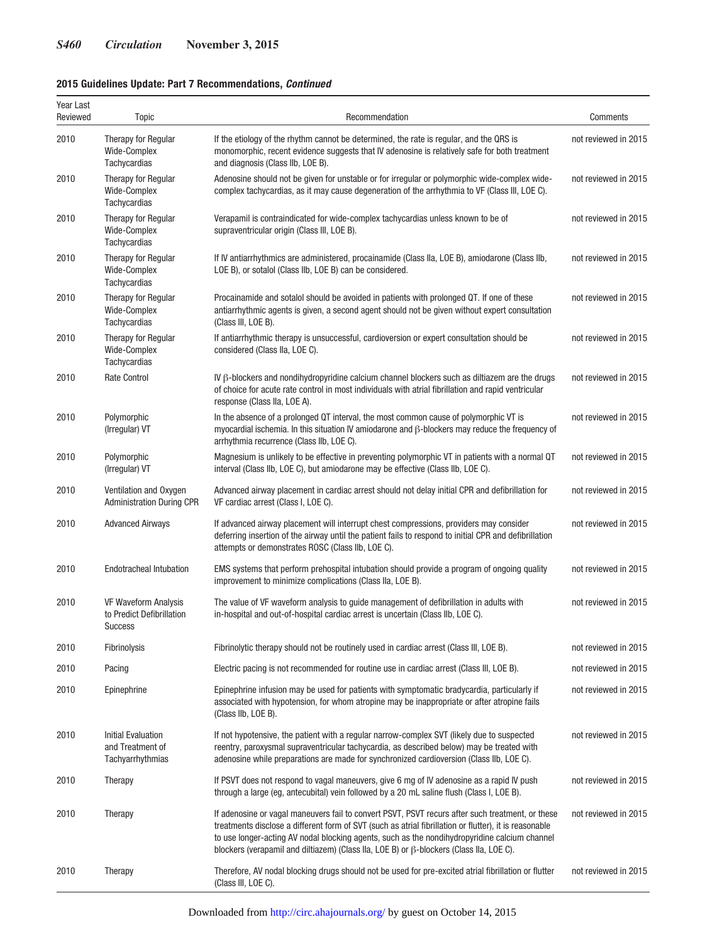### **2015 Guidelines Update: Part 7 Recommendations,** *Continued*

| Year Last<br>Reviewed | Topic                                                               | Recommendation                                                                                                                                                                                                                                                                                                                                                                                                |                      |
|-----------------------|---------------------------------------------------------------------|---------------------------------------------------------------------------------------------------------------------------------------------------------------------------------------------------------------------------------------------------------------------------------------------------------------------------------------------------------------------------------------------------------------|----------------------|
| 2010                  | Therapy for Regular<br>Wide-Complex<br>Tachycardias                 | If the etiology of the rhythm cannot be determined, the rate is regular, and the QRS is<br>monomorphic, recent evidence suggests that IV adenosine is relatively safe for both treatment<br>and diagnosis (Class IIb, LOE B).                                                                                                                                                                                 | not reviewed in 2015 |
| 2010                  | Therapy for Regular<br>Wide-Complex<br>Tachycardias                 | Adenosine should not be given for unstable or for irregular or polymorphic wide-complex wide-<br>complex tachycardias, as it may cause degeneration of the arrhythmia to VF (Class III, LOE C).                                                                                                                                                                                                               | not reviewed in 2015 |
| 2010                  | Therapy for Regular<br>Wide-Complex<br>Tachycardias                 | Verapamil is contraindicated for wide-complex tachycardias unless known to be of<br>supraventricular origin (Class III, LOE B).                                                                                                                                                                                                                                                                               | not reviewed in 2015 |
| 2010                  | Therapy for Regular<br>Wide-Complex<br>Tachycardias                 | If IV antiarrhythmics are administered, procainamide (Class IIa, LOE B), amiodarone (Class IIb,<br>LOE B), or sotalol (Class IIb, LOE B) can be considered.                                                                                                                                                                                                                                                   | not reviewed in 2015 |
| 2010                  | Therapy for Regular<br>Wide-Complex<br>Tachycardias                 | Procainamide and sotalol should be avoided in patients with prolonged QT. If one of these<br>antiarrhythmic agents is given, a second agent should not be given without expert consultation<br>(Class III, LOE B).                                                                                                                                                                                            | not reviewed in 2015 |
| 2010                  | Therapy for Regular<br>Wide-Complex<br>Tachycardias                 | If antiarrhythmic therapy is unsuccessful, cardioversion or expert consultation should be<br>considered (Class IIa, LOE C).                                                                                                                                                                                                                                                                                   | not reviewed in 2015 |
| 2010                  | <b>Rate Control</b>                                                 | IV $\beta$ -blockers and nondihydropyridine calcium channel blockers such as diltiazem are the drugs<br>of choice for acute rate control in most individuals with atrial fibrillation and rapid ventricular<br>response (Class IIa, LOE A).                                                                                                                                                                   | not reviewed in 2015 |
| 2010                  | Polymorphic<br>(Irregular) VT                                       | In the absence of a prolonged QT interval, the most common cause of polymorphic VT is<br>myocardial ischemia. In this situation IV amiodarone and ß-blockers may reduce the frequency of<br>arrhythmia recurrence (Class IIb, LOE C).                                                                                                                                                                         | not reviewed in 2015 |
| 2010                  | Polymorphic<br>(Irregular) VT                                       | Magnesium is unlikely to be effective in preventing polymorphic VT in patients with a normal QT<br>interval (Class IIb, LOE C), but amiodarone may be effective (Class IIb, LOE C).                                                                                                                                                                                                                           | not reviewed in 2015 |
| 2010                  | Ventilation and Oxygen<br><b>Administration During CPR</b>          | Advanced airway placement in cardiac arrest should not delay initial CPR and defibrillation for<br>VF cardiac arrest (Class I, LOE C).                                                                                                                                                                                                                                                                        | not reviewed in 2015 |
| 2010                  | <b>Advanced Airways</b>                                             | If advanced airway placement will interrupt chest compressions, providers may consider<br>deferring insertion of the airway until the patient fails to respond to initial CPR and defibrillation<br>attempts or demonstrates ROSC (Class IIb, LOE C).                                                                                                                                                         | not reviewed in 2015 |
| 2010                  | <b>Endotracheal Intubation</b>                                      | EMS systems that perform prehospital intubation should provide a program of ongoing quality<br>improvement to minimize complications (Class IIa, LOE B).                                                                                                                                                                                                                                                      | not reviewed in 2015 |
| 2010                  | VF Waveform Analysis<br>to Predict Defibrillation<br><b>Success</b> | The value of VF waveform analysis to guide management of defibrillation in adults with<br>in-hospital and out-of-hospital cardiac arrest is uncertain (Class IIb, LOE C).                                                                                                                                                                                                                                     | not reviewed in 2015 |
| 2010                  | Fibrinolysis                                                        | Fibrinolytic therapy should not be routinely used in cardiac arrest (Class III, LOE B).                                                                                                                                                                                                                                                                                                                       | not reviewed in 2015 |
| 2010                  | Pacing                                                              | Electric pacing is not recommended for routine use in cardiac arrest (Class III, LOE B).                                                                                                                                                                                                                                                                                                                      | not reviewed in 2015 |
| 2010                  | Epinephrine                                                         | Epinephrine infusion may be used for patients with symptomatic bradycardia, particularly if<br>associated with hypotension, for whom atropine may be inappropriate or after atropine fails<br>(Class IIb, LOE B).                                                                                                                                                                                             | not reviewed in 2015 |
| 2010                  | <b>Initial Evaluation</b><br>and Treatment of<br>Tachyarrhythmias   | If not hypotensive, the patient with a regular narrow-complex SVT (likely due to suspected<br>reentry, paroxysmal supraventricular tachycardia, as described below) may be treated with<br>adenosine while preparations are made for synchronized cardioversion (Class IIb, LOE C).                                                                                                                           | not reviewed in 2015 |
| 2010                  | Therapy                                                             | If PSVT does not respond to vagal maneuvers, give 6 mg of IV adenosine as a rapid IV push<br>through a large (eg, antecubital) vein followed by a 20 mL saline flush (Class I, LOE B).                                                                                                                                                                                                                        | not reviewed in 2015 |
| 2010                  | Therapy                                                             | If adenosine or vagal maneuvers fail to convert PSVT, PSVT recurs after such treatment, or these<br>treatments disclose a different form of SVT (such as atrial fibrillation or flutter), it is reasonable<br>to use longer-acting AV nodal blocking agents, such as the nondihydropyridine calcium channel<br>blockers (verapamil and diltiazem) (Class IIa, LOE B) or $\beta$ -blockers (Class IIa, LOE C). | not reviewed in 2015 |
| 2010                  | Therapy                                                             | Therefore, AV nodal blocking drugs should not be used for pre-excited atrial fibrillation or flutter<br>(Class III, LOE C).                                                                                                                                                                                                                                                                                   | not reviewed in 2015 |

Downloaded from<http://circ.ahajournals.org/>by guest on October 14, 2015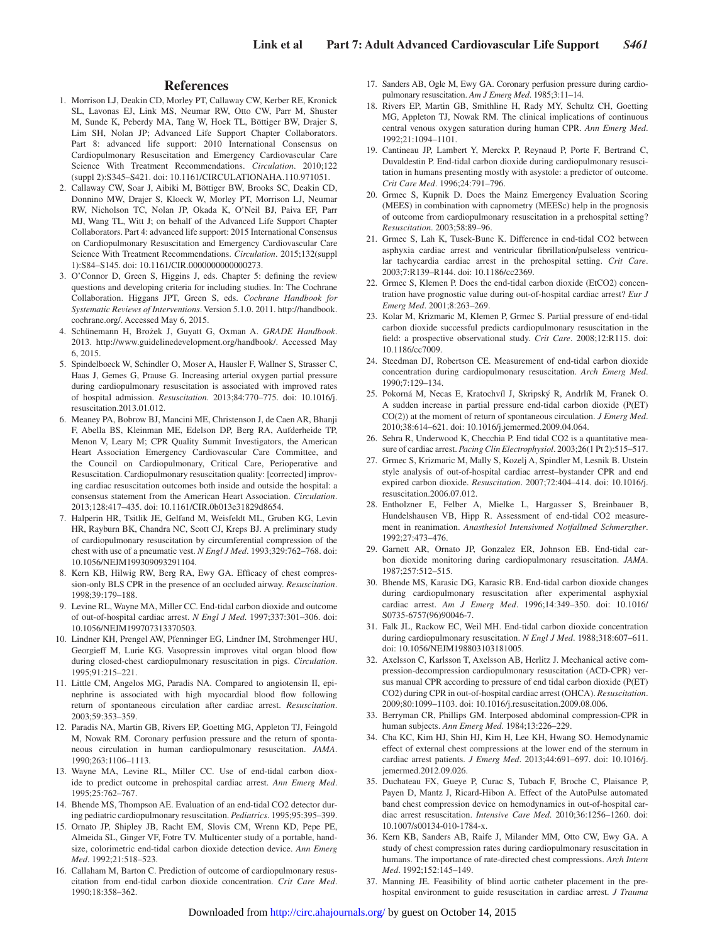#### **References**

- 1. Morrison LJ, Deakin CD, Morley PT, Callaway CW, Kerber RE, Kronick SL, Lavonas EJ, Link MS, Neumar RW, Otto CW, Parr M, Shuster M, Sunde K, Peberdy MA, Tang W, Hoek TL, Böttiger BW, Drajer S, Lim SH, Nolan JP; Advanced Life Support Chapter Collaborators. Part 8: advanced life support: 2010 International Consensus on Cardiopulmonary Resuscitation and Emergency Cardiovascular Care Science With Treatment Recommendations. *Circulation*. 2010;122 (suppl 2):S345–S421. doi: 10.1161/CIRCULATIONAHA.110.971051.
- 2. Callaway CW, Soar J, Aibiki M, Böttiger BW, Brooks SC, Deakin CD, Donnino MW, Drajer S, Kloeck W, Morley PT, Morrison LJ, Neumar RW, Nicholson TC, Nolan JP, Okada K, O'Neil BJ, Paiva EF, Parr MJ, Wang TL, Witt J; on behalf of the Advanced Life Support Chapter Collaborators. Part 4: advanced life support: 2015 International Consensus on Cardiopulmonary Resuscitation and Emergency Cardiovascular Care Science With Treatment Recommendations. *Circulation*. 2015;132(suppl 1):S84–S145. doi: 10.1161/CIR.0000000000000273.
- 3. O'Connor D, Green S, Higgins J, eds. Chapter 5: defining the review questions and developing criteria for including studies. In: The Cochrane Collaboration. Higgans JPT, Green S, eds. *Cochrane Handbook for Systematic Reviews of Interventions*. Version 5.1.0. 2011. [http://handbook.](http://www.handbook.cochrane.org/) [cochrane.org/](http://www.handbook.cochrane.org/). Accessed May 6, 2015.
- 4. Schünemann H, Brożek J, Guyatt G, Oxman A. *GRADE Handbook*. 2013. [http://www.guidelinedevelopment.org/handbook/.](http://www.guidelinedevelopment.org/handbook/) Accessed May 6, 2015.
- 5. Spindelboeck W, Schindler O, Moser A, Hausler F, Wallner S, Strasser C, Haas J, Gemes G, Prause G. Increasing arterial oxygen partial pressure during cardiopulmonary resuscitation is associated with improved rates of hospital admission. *Resuscitation*. 2013;84:770–775. doi: 10.1016/j. resuscitation.2013.01.012.
- 6. Meaney PA, Bobrow BJ, Mancini ME, Christenson J, de Caen AR, Bhanji F, Abella BS, Kleinman ME, Edelson DP, Berg RA, Aufderheide TP, Menon V, Leary M; CPR Quality Summit Investigators, the American Heart Association Emergency Cardiovascular Care Committee, and the Council on Cardiopulmonary, Critical Care, Perioperative and Resuscitation. Cardiopulmonary resuscitation quality: [corrected] improving cardiac resuscitation outcomes both inside and outside the hospital: a consensus statement from the American Heart Association. *Circulation*. 2013;128:417–435. doi: 10.1161/CIR.0b013e31829d8654.
- 7. Halperin HR, Tsitlik JE, Gelfand M, Weisfeldt ML, Gruben KG, Levin HR, Rayburn BK, Chandra NC, Scott CJ, Kreps BJ. A preliminary study of cardiopulmonary resuscitation by circumferential compression of the chest with use of a pneumatic vest. *N Engl J Med*. 1993;329:762–768. doi: 10.1056/NEJM199309093291104.
- Kern KB, Hilwig RW, Berg RA, Ewy GA. Efficacy of chest compression-only BLS CPR in the presence of an occluded airway. *Resuscitation*. 1998;39:179–188.
- 9. Levine RL, Wayne MA, Miller CC. End-tidal carbon dioxide and outcome of out-of-hospital cardiac arrest. *N Engl J Med*. 1997;337:301–306. doi: 10.1056/NEJM199707313370503.
- 10. Lindner KH, Prengel AW, Pfenninger EG, Lindner IM, Strohmenger HU, Georgieff M, Lurie KG. Vasopressin improves vital organ blood flow during closed-chest cardiopulmonary resuscitation in pigs. *Circulation*. 1995;91:215–221.
- 11. Little CM, Angelos MG, Paradis NA. Compared to angiotensin II, epinephrine is associated with high myocardial blood flow following return of spontaneous circulation after cardiac arrest. *Resuscitation*. 2003;59:353–359.
- 12. Paradis NA, Martin GB, Rivers EP, Goetting MG, Appleton TJ, Feingold M, Nowak RM. Coronary perfusion pressure and the return of spontaneous circulation in human cardiopulmonary resuscitation. *JAMA*. 1990;263:1106–1113.
- 13. Wayne MA, Levine RL, Miller CC. Use of end-tidal carbon dioxide to predict outcome in prehospital cardiac arrest. *Ann Emerg Med*. 1995;25:762–767.
- 14. Bhende MS, Thompson AE. Evaluation of an end-tidal CO2 detector during pediatric cardiopulmonary resuscitation. *Pediatrics*. 1995;95:395–399.
- 15. Ornato JP, Shipley JB, Racht EM, Slovis CM, Wrenn KD, Pepe PE, Almeida SL, Ginger VF, Fotre TV. Multicenter study of a portable, handsize, colorimetric end-tidal carbon dioxide detection device. *Ann Emerg Med*. 1992;21:518–523.
- 16. Callaham M, Barton C. Prediction of outcome of cardiopulmonary resuscitation from end-tidal carbon dioxide concentration. *Crit Care Med*. 1990;18:358–362.
- 17. Sanders AB, Ogle M, Ewy GA. Coronary perfusion pressure during cardiopulmonary resuscitation. *Am J Emerg Med*. 1985;3:11–14.
- 18. Rivers EP, Martin GB, Smithline H, Rady MY, Schultz CH, Goetting MG, Appleton TJ, Nowak RM. The clinical implications of continuous central venous oxygen saturation during human CPR. *Ann Emerg Med*. 1992;21:1094–1101.
- 19. Cantineau JP, Lambert Y, Merckx P, Reynaud P, Porte F, Bertrand C, Duvaldestin P. End-tidal carbon dioxide during cardiopulmonary resuscitation in humans presenting mostly with asystole: a predictor of outcome. *Crit Care Med*. 1996;24:791–796.
- 20. Grmec S, Kupnik D. Does the Mainz Emergency Evaluation Scoring (MEES) in combination with capnometry (MEESc) help in the prognosis of outcome from cardiopulmonary resuscitation in a prehospital setting? *Resuscitation*. 2003;58:89–96.
- 21. Grmec S, Lah K, Tusek-Bunc K. Difference in end-tidal CO2 between asphyxia cardiac arrest and ventricular fibrillation/pulseless ventricular tachycardia cardiac arrest in the prehospital setting. *Crit Care*. 2003;7:R139–R144. doi: 10.1186/cc2369.
- 22. Grmec S, Klemen P. Does the end-tidal carbon dioxide (EtCO2) concentration have prognostic value during out-of-hospital cardiac arrest? *Eur J Emerg Med*. 2001;8:263–269.
- 23. Kolar M, Krizmaric M, Klemen P, Grmec S. Partial pressure of end-tidal carbon dioxide successful predicts cardiopulmonary resuscitation in the field: a prospective observational study. *Crit Care*. 2008;12:R115. doi: 10.1186/cc7009.
- 24. Steedman DJ, Robertson CE. Measurement of end-tidal carbon dioxide concentration during cardiopulmonary resuscitation. *Arch Emerg Med*. 1990;7:129–134.
- 25. Pokorná M, Necas E, Kratochvíl J, Skripský R, Andrlík M, Franek O. A sudden increase in partial pressure end-tidal carbon dioxide (P(ET) CO(2)) at the moment of return of spontaneous circulation. *J Emerg Med*. 2010;38:614–621. doi: 10.1016/j.jemermed.2009.04.064.
- 26. Sehra R, Underwood K, Checchia P. End tidal CO2 is a quantitative measure of cardiac arrest. *Pacing Clin Electrophysiol*. 2003;26(1 Pt 2):515–517.
- 27. Grmec S, Krizmaric M, Mally S, Kozelj A, Spindler M, Lesnik B. Utstein style analysis of out-of-hospital cardiac arrest–bystander CPR and end expired carbon dioxide. *Resuscitation*. 2007;72:404–414. doi: 10.1016/j. resuscitation.2006.07.012.
- 28. Entholzner E, Felber A, Mielke L, Hargasser S, Breinbauer B, Hundelshausen VB, Hipp R. Assessment of end-tidal CO2 measurement in reanimation. *Anasthesiol Intensivmed Notfallmed Schmerzther*. 1992;27:473–476.
- 29. Garnett AR, Ornato JP, Gonzalez ER, Johnson EB. End-tidal carbon dioxide monitoring during cardiopulmonary resuscitation. *JAMA*. 1987;257:512–515.
- 30. Bhende MS, Karasic DG, Karasic RB. End-tidal carbon dioxide changes during cardiopulmonary resuscitation after experimental asphyxial cardiac arrest. *Am J Emerg Med*. 1996;14:349–350. doi: 10.1016/ S0735-6757(96)90046-7.
- 31. Falk JL, Rackow EC, Weil MH. End-tidal carbon dioxide concentration during cardiopulmonary resuscitation. *N Engl J Med*. 1988;318:607–611. doi: 10.1056/NEJM198803103181005.
- 32. Axelsson C, Karlsson T, Axelsson AB, Herlitz J. Mechanical active compression-decompression cardiopulmonary resuscitation (ACD-CPR) versus manual CPR according to pressure of end tidal carbon dioxide (P(ET) CO2) during CPR in out-of-hospital cardiac arrest (OHCA). *Resuscitation*. 2009;80:1099–1103. doi: 10.1016/j.resuscitation.2009.08.006.
- 33. Berryman CR, Phillips GM. Interposed abdominal compression-CPR in human subjects. *Ann Emerg Med*. 1984;13:226–229.
- 34. Cha KC, Kim HJ, Shin HJ, Kim H, Lee KH, Hwang SO. Hemodynamic effect of external chest compressions at the lower end of the sternum in cardiac arrest patients. *J Emerg Med*. 2013;44:691–697. doi: 10.1016/j. jemermed.2012.09.026.
- 35. Duchateau FX, Gueye P, Curac S, Tubach F, Broche C, Plaisance P, Payen D, Mantz J, Ricard-Hibon A. Effect of the AutoPulse automated band chest compression device on hemodynamics in out-of-hospital cardiac arrest resuscitation. *Intensive Care Med*. 2010;36:1256–1260. doi: 10.1007/s00134-010-1784-x.
- 36. Kern KB, Sanders AB, Raife J, Milander MM, Otto CW, Ewy GA. A study of chest compression rates during cardiopulmonary resuscitation in humans. The importance of rate-directed chest compressions. *Arch Intern Med*. 1992;152:145–149.
- 37. Manning JE. Feasibility of blind aortic catheter placement in the prehospital environment to guide resuscitation in cardiac arrest. *J Trauma*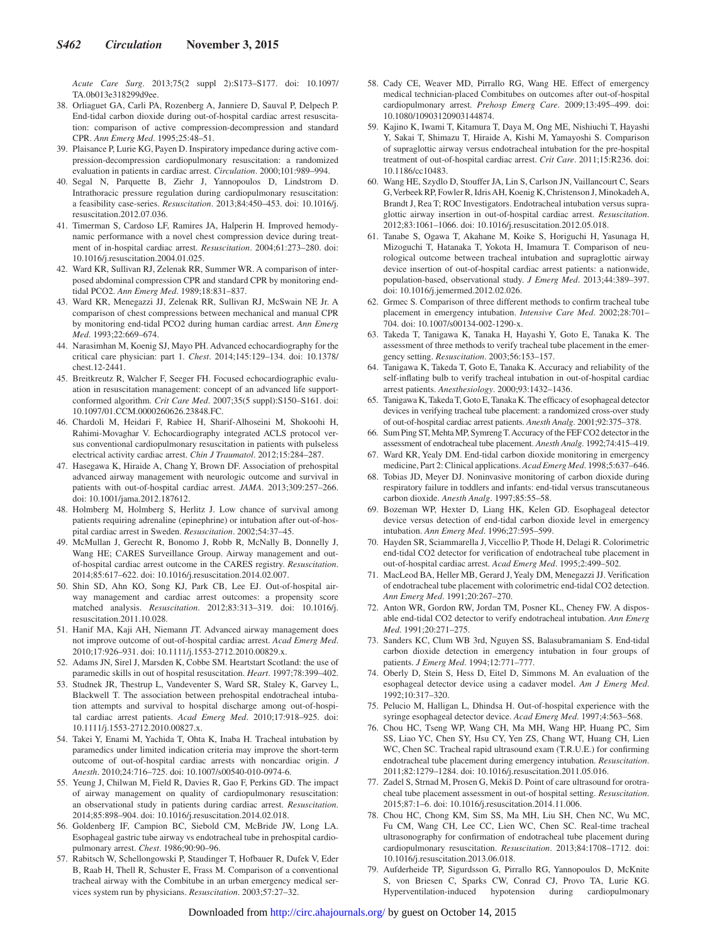*Acute Care Surg*. 2013;75(2 suppl 2):S173–S177. doi: 10.1097/ TA.0b013e318299d9ee.

- 38. Orliaguet GA, Carli PA, Rozenberg A, Janniere D, Sauval P, Delpech P. End-tidal carbon dioxide during out-of-hospital cardiac arrest resuscitation: comparison of active compression-decompression and standard CPR. *Ann Emerg Med*. 1995;25:48–51.
- 39. Plaisance P, Lurie KG, Payen D. Inspiratory impedance during active compression-decompression cardiopulmonary resuscitation: a randomized evaluation in patients in cardiac arrest. *Circulation*. 2000;101:989–994.
- 40. Segal N, Parquette B, Ziehr J, Yannopoulos D, Lindstrom D. Intrathoracic pressure regulation during cardiopulmonary resuscitation: a feasibility case-series. *Resuscitation*. 2013;84:450–453. doi: 10.1016/j. resuscitation.2012.07.036.
- 41. Timerman S, Cardoso LF, Ramires JA, Halperin H. Improved hemodynamic performance with a novel chest compression device during treatment of in-hospital cardiac arrest. *Resuscitation*. 2004;61:273–280. doi: 10.1016/j.resuscitation.2004.01.025.
- 42. Ward KR, Sullivan RJ, Zelenak RR, Summer WR. A comparison of interposed abdominal compression CPR and standard CPR by monitoring endtidal PCO2. *Ann Emerg Med*. 1989;18:831–837.
- 43. Ward KR, Menegazzi JJ, Zelenak RR, Sullivan RJ, McSwain NE Jr. A comparison of chest compressions between mechanical and manual CPR by monitoring end-tidal PCO2 during human cardiac arrest. *Ann Emerg Med*. 1993;22:669–674.
- 44. Narasimhan M, Koenig SJ, Mayo PH. Advanced echocardiography for the critical care physician: part 1. *Chest*. 2014;145:129–134. doi: 10.1378/ chest.12-2441.
- 45. Breitkreutz R, Walcher F, Seeger FH. Focused echocardiographic evaluation in resuscitation management: concept of an advanced life supportconformed algorithm. *Crit Care Med*. 2007;35(5 suppl):S150–S161. doi: 10.1097/01.CCM.0000260626.23848.FC.
- 46. Chardoli M, Heidari F, Rabiee H, Sharif-Alhoseini M, Shokoohi H, Rahimi-Movaghar V. Echocardiography integrated ACLS protocol versus conventional cardiopulmonary resuscitation in patients with pulseless electrical activity cardiac arrest. *Chin J Traumatol*. 2012;15:284–287.
- 47. Hasegawa K, Hiraide A, Chang Y, Brown DF. Association of prehospital advanced airway management with neurologic outcome and survival in patients with out-of-hospital cardiac arrest. *JAMA*. 2013;309:257–266. doi: 10.1001/jama.2012.187612.
- 48. Holmberg M, Holmberg S, Herlitz J. Low chance of survival among patients requiring adrenaline (epinephrine) or intubation after out-of-hospital cardiac arrest in Sweden. *Resuscitation*. 2002;54:37–45.
- 49. McMullan J, Gerecht R, Bonomo J, Robb R, McNally B, Donnelly J, Wang HE; CARES Surveillance Group. Airway management and outof-hospital cardiac arrest outcome in the CARES registry. *Resuscitation*. 2014;85:617–622. doi: 10.1016/j.resuscitation.2014.02.007.
- 50. Shin SD, Ahn KO, Song KJ, Park CB, Lee EJ. Out-of-hospital airway management and cardiac arrest outcomes: a propensity score matched analysis. *Resuscitation*. 2012;83:313–319. doi: 10.1016/j. resuscitation.2011.10.028.
- 51. Hanif MA, Kaji AH, Niemann JT. Advanced airway management does not improve outcome of out-of-hospital cardiac arrest. *Acad Emerg Med*. 2010;17:926–931. doi: 10.1111/j.1553-2712.2010.00829.x.
- 52. Adams JN, Sirel J, Marsden K, Cobbe SM. Heartstart Scotland: the use of paramedic skills in out of hospital resuscitation. *Heart*. 1997;78:399–402.
- 53. Studnek JR, Thestrup L, Vandeventer S, Ward SR, Staley K, Garvey L, Blackwell T. The association between prehospital endotracheal intubation attempts and survival to hospital discharge among out-of-hospital cardiac arrest patients. *Acad Emerg Med*. 2010;17:918–925. doi: 10.1111/j.1553-2712.2010.00827.x.
- 54. Takei Y, Enami M, Yachida T, Ohta K, Inaba H. Tracheal intubation by paramedics under limited indication criteria may improve the short-term outcome of out-of-hospital cardiac arrests with noncardiac origin. *J Anesth*. 2010;24:716–725. doi: 10.1007/s00540-010-0974-6.
- 55. Yeung J, Chilwan M, Field R, Davies R, Gao F, Perkins GD. The impact of airway management on quality of cardiopulmonary resuscitation: an observational study in patients during cardiac arrest. *Resuscitation*. 2014;85:898–904. doi: 10.1016/j.resuscitation.2014.02.018.
- 56. Goldenberg IF, Campion BC, Siebold CM, McBride JW, Long LA. Esophageal gastric tube airway vs endotracheal tube in prehospital cardiopulmonary arrest. *Chest*. 1986;90:90–96.
- 57. Rabitsch W, Schellongowski P, Staudinger T, Hofbauer R, Dufek V, Eder B, Raab H, Thell R, Schuster E, Frass M. Comparison of a conventional tracheal airway with the Combitube in an urban emergency medical services system run by physicians. *Resuscitation*. 2003;57:27–32.
- 58. Cady CE, Weaver MD, Pirrallo RG, Wang HE. Effect of emergency medical technician-placed Combitubes on outcomes after out-of-hospital cardiopulmonary arrest. *Prehosp Emerg Care*. 2009;13:495–499. doi: 10.1080/10903120903144874.
- 59. Kajino K, Iwami T, Kitamura T, Daya M, Ong ME, Nishiuchi T, Hayashi Y, Sakai T, Shimazu T, Hiraide A, Kishi M, Yamayoshi S. Comparison of supraglottic airway versus endotracheal intubation for the pre-hospital treatment of out-of-hospital cardiac arrest. *Crit Care*. 2011;15:R236. doi: 10.1186/cc10483.
- 60. Wang HE, Szydlo D, Stouffer JA, Lin S, Carlson JN, Vaillancourt C, Sears G, Verbeek RP, Fowler R, Idris AH, Koenig K, Christenson J, Minokadeh A, Brandt J, Rea T; ROC Investigators. Endotracheal intubation versus supraglottic airway insertion in out-of-hospital cardiac arrest. *Resuscitation*. 2012;83:1061–1066. doi: 10.1016/j.resuscitation.2012.05.018.
- 61. Tanabe S, Ogawa T, Akahane M, Koike S, Horiguchi H, Yasunaga H, Mizoguchi T, Hatanaka T, Yokota H, Imamura T. Comparison of neurological outcome between tracheal intubation and supraglottic airway device insertion of out-of-hospital cardiac arrest patients: a nationwide, population-based, observational study. *J Emerg Med*. 2013;44:389–397. doi: 10.1016/j.jemermed.2012.02.026.
- 62. Grmec S. Comparison of three different methods to confirm tracheal tube placement in emergency intubation. *Intensive Care Med*. 2002;28:701– 704. doi: 10.1007/s00134-002-1290-x.
- 63. Takeda T, Tanigawa K, Tanaka H, Hayashi Y, Goto E, Tanaka K. The assessment of three methods to verify tracheal tube placement in the emergency setting. *Resuscitation*. 2003;56:153–157.
- 64. Tanigawa K, Takeda T, Goto E, Tanaka K. Accuracy and reliability of the self-inflating bulb to verify tracheal intubation in out-of-hospital cardiac arrest patients. *Anesthesiology*. 2000;93:1432–1436.
- 65. Tanigawa K, Takeda T, Goto E, Tanaka K. The efficacy of esophageal detector devices in verifying tracheal tube placement: a randomized cross-over study of out-of-hospital cardiac arrest patients. *Anesth Analg*. 2001;92:375–378.
- 66. Sum Ping ST, Mehta MP, Symreng T. Accuracy of the FEF CO2 detector in the assessment of endotracheal tube placement. *Anesth Analg*. 1992;74:415–419.
- 67. Ward KR, Yealy DM. End-tidal carbon dioxide monitoring in emergency medicine, Part 2: Clinical applications. *Acad Emerg Med*. 1998;5:637–646.
- 68. Tobias JD, Meyer DJ. Noninvasive monitoring of carbon dioxide during respiratory failure in toddlers and infants: end-tidal versus transcutaneous carbon dioxide. *Anesth Analg*. 1997;85:55–58.
- 69. Bozeman WP, Hexter D, Liang HK, Kelen GD. Esophageal detector device versus detection of end-tidal carbon dioxide level in emergency intubation. *Ann Emerg Med*. 1996;27:595–599.
- 70. Hayden SR, Sciammarella J, Viccellio P, Thode H, Delagi R. Colorimetric end-tidal CO2 detector for verification of endotracheal tube placement in out-of-hospital cardiac arrest. *Acad Emerg Med*. 1995;2:499–502.
- 71. MacLeod BA, Heller MB, Gerard J, Yealy DM, Menegazzi JJ. Verification of endotracheal tube placement with colorimetric end-tidal CO2 detection. *Ann Emerg Med*. 1991;20:267–270.
- 72. Anton WR, Gordon RW, Jordan TM, Posner KL, Cheney FW. A disposable end-tidal CO2 detector to verify endotracheal intubation. *Ann Emerg Med*. 1991;20:271–275.
- 73. Sanders KC, Clum WB 3rd, Nguyen SS, Balasubramaniam S. End-tidal carbon dioxide detection in emergency intubation in four groups of patients. *J Emerg Med*. 1994;12:771–777.
- 74. Oberly D, Stein S, Hess D, Eitel D, Simmons M. An evaluation of the esophageal detector device using a cadaver model. *Am J Emerg Med*. 1992;10:317–320.
- 75. Pelucio M, Halligan L, Dhindsa H. Out-of-hospital experience with the syringe esophageal detector device. *Acad Emerg Med*. 1997;4:563–568.
- 76. Chou HC, Tseng WP, Wang CH, Ma MH, Wang HP, Huang PC, Sim SS, Liao YC, Chen SY, Hsu CY, Yen ZS, Chang WT, Huang CH, Lien WC, Chen SC. Tracheal rapid ultrasound exam (T.R.U.E.) for confirming endotracheal tube placement during emergency intubation. *Resuscitation*. 2011;82:1279–1284. doi: 10.1016/j.resuscitation.2011.05.016.
- 77. Zadel S, Strnad M, Prosen G, Mekiš D. Point of care ultrasound for orotracheal tube placement assessment in out-of hospital setting. *Resuscitation*. 2015;87:1–6. doi: 10.1016/j.resuscitation.2014.11.006.
- 78. Chou HC, Chong KM, Sim SS, Ma MH, Liu SH, Chen NC, Wu MC, Fu CM, Wang CH, Lee CC, Lien WC, Chen SC. Real-time tracheal ultrasonography for confirmation of endotracheal tube placement during cardiopulmonary resuscitation. *Resuscitation*. 2013;84:1708–1712. doi: 10.1016/j.resuscitation.2013.06.018.
- 79. Aufderheide TP, Sigurdsson G, Pirrallo RG, Yannopoulos D, McKnite S, von Briesen C, Sparks CW, Conrad CJ, Provo TA, Lurie KG. Hyperventilation-induced hypotension during cardiopulmonary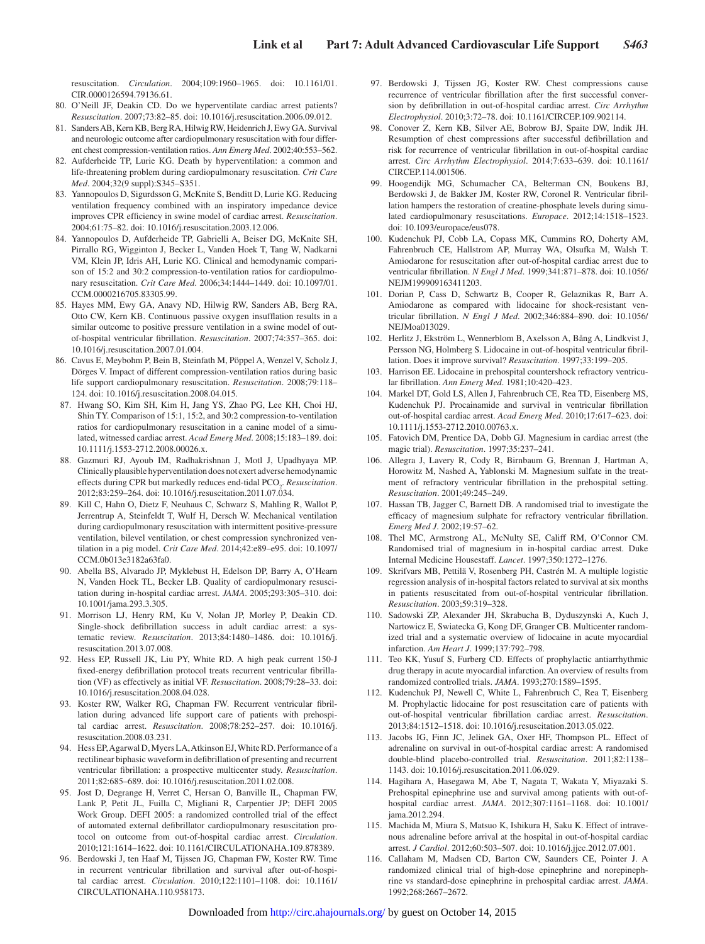resuscitation. *Circulation*. 2004;109:1960–1965. doi: 10.1161/01. CIR.0000126594.79136.61.

- 80. O'Neill JF, Deakin CD. Do we hyperventilate cardiac arrest patients? *Resuscitation*. 2007;73:82–85. doi: 10.1016/j.resuscitation.2006.09.012.
- 81. Sanders AB, Kern KB, Berg RA, Hilwig RW, Heidenrich J, Ewy GA. Survival and neurologic outcome after cardiopulmonary resuscitation with four different chest compression-ventilation ratios. *Ann Emerg Med*. 2002;40:553–562.
- 82. Aufderheide TP, Lurie KG. Death by hyperventilation: a common and life-threatening problem during cardiopulmonary resuscitation. *Crit Care Med*. 2004;32(9 suppl):S345–S351.
- 83. Yannopoulos D, Sigurdsson G, McKnite S, Benditt D, Lurie KG. Reducing ventilation frequency combined with an inspiratory impedance device improves CPR efficiency in swine model of cardiac arrest. *Resuscitation*. 2004;61:75–82. doi: 10.1016/j.resuscitation.2003.12.006.
- 84. Yannopoulos D, Aufderheide TP, Gabrielli A, Beiser DG, McKnite SH, Pirrallo RG, Wigginton J, Becker L, Vanden Hoek T, Tang W, Nadkarni VM, Klein JP, Idris AH, Lurie KG. Clinical and hemodynamic comparison of 15:2 and 30:2 compression-to-ventilation ratios for cardiopulmonary resuscitation. *Crit Care Med*. 2006;34:1444–1449. doi: 10.1097/01. CCM.0000216705.83305.99.
- 85. Hayes MM, Ewy GA, Anavy ND, Hilwig RW, Sanders AB, Berg RA, Otto CW, Kern KB. Continuous passive oxygen insufflation results in a similar outcome to positive pressure ventilation in a swine model of outof-hospital ventricular fibrillation. *Resuscitation*. 2007;74:357–365. doi: 10.1016/j.resuscitation.2007.01.004.
- 86. Cavus E, Meybohm P, Bein B, Steinfath M, Pöppel A, Wenzel V, Scholz J, Dörges V. Impact of different compression-ventilation ratios during basic life support cardiopulmonary resuscitation. *Resuscitation*. 2008;79:118– 124. doi: 10.1016/j.resuscitation.2008.04.015.
- 87. Hwang SO, Kim SH, Kim H, Jang YS, Zhao PG, Lee KH, Choi HJ, Shin TY. Comparison of 15:1, 15:2, and 30:2 compression-to-ventilation ratios for cardiopulmonary resuscitation in a canine model of a simulated, witnessed cardiac arrest. *Acad Emerg Med*. 2008;15:183–189. doi: 10.1111/j.1553-2712.2008.00026.x.
- 88. Gazmuri RJ, Ayoub IM, Radhakrishnan J, Motl J, Upadhyaya MP. Clinically plausible hyperventilation does not exert adverse hemodynamic effects during CPR but markedly reduces end-tidal PCO<sub>2</sub>. Resuscitation. 2012;83:259–264. doi: 10.1016/j.resuscitation.2011.07.034.
- 89. Kill C, Hahn O, Dietz F, Neuhaus C, Schwarz S, Mahling R, Wallot P, Jerrentrup A, Steinfeldt T, Wulf H, Dersch W. Mechanical ventilation during cardiopulmonary resuscitation with intermittent positive-pressure ventilation, bilevel ventilation, or chest compression synchronized ventilation in a pig model. *Crit Care Med*. 2014;42:e89–e95. doi: 10.1097/ CCM.0b013e3182a63fa0.
- 90. Abella BS, Alvarado JP, Myklebust H, Edelson DP, Barry A, O'Hearn N, Vanden Hoek TL, Becker LB. Quality of cardiopulmonary resuscitation during in-hospital cardiac arrest. *JAMA*. 2005;293:305–310. doi: 10.1001/jama.293.3.305.
- 91. Morrison LJ, Henry RM, Ku V, Nolan JP, Morley P, Deakin CD. Single-shock defibrillation success in adult cardiac arrest: a systematic review. *Resuscitation*. 2013;84:1480–1486. doi: 10.1016/j. resuscitation.2013.07.008.
- 92. Hess EP, Russell JK, Liu PY, White RD. A high peak current 150-J fixed-energy defibrillation protocol treats recurrent ventricular fibrillation (VF) as effectively as initial VF. *Resuscitation*. 2008;79:28–33. doi: 10.1016/j.resuscitation.2008.04.028.
- 93. Koster RW, Walker RG, Chapman FW. Recurrent ventricular fibrillation during advanced life support care of patients with prehospital cardiac arrest. *Resuscitation*. 2008;78:252–257. doi: 10.1016/j. resuscitation.2008.03.231.
- 94. Hess EP, Agarwal D, Myers LA, Atkinson EJ, White RD. Performance of a rectilinear biphasic waveform in defibrillation of presenting and recurrent ventricular fibrillation: a prospective multicenter study. *Resuscitation*. 2011;82:685–689. doi: 10.1016/j.resuscitation.2011.02.008.
- 95. Jost D, Degrange H, Verret C, Hersan O, Banville IL, Chapman FW, Lank P, Petit JL, Fuilla C, Migliani R, Carpentier JP; DEFI 2005 Work Group. DEFI 2005: a randomized controlled trial of the effect of automated external defibrillator cardiopulmonary resuscitation protocol on outcome from out-of-hospital cardiac arrest. *Circulation*. 2010;121:1614–1622. doi: 10.1161/CIRCULATIONAHA.109.878389.
- 96. Berdowski J, ten Haaf M, Tijssen JG, Chapman FW, Koster RW. Time in recurrent ventricular fibrillation and survival after out-of-hospital cardiac arrest. *Circulation*. 2010;122:1101–1108. doi: 10.1161/ CIRCULATIONAHA.110.958173.
- 97. Berdowski J, Tijssen JG, Koster RW. Chest compressions cause recurrence of ventricular fibrillation after the first successful conversion by defibrillation in out-of-hospital cardiac arrest. *Circ Arrhythm Electrophysiol*. 2010;3:72–78. doi: 10.1161/CIRCEP.109.902114.
- 98. Conover Z, Kern KB, Silver AE, Bobrow BJ, Spaite DW, Indik JH. Resumption of chest compressions after successful defibrillation and risk for recurrence of ventricular fibrillation in out-of-hospital cardiac arrest. *Circ Arrhythm Electrophysiol*. 2014;7:633–639. doi: 10.1161/ CIRCEP.114.001506.
- 99. Hoogendijk MG, Schumacher CA, Belterman CN, Boukens BJ, Berdowski J, de Bakker JM, Koster RW, Coronel R. Ventricular fibrillation hampers the restoration of creatine-phosphate levels during simulated cardiopulmonary resuscitations. *Europace*. 2012;14:1518–1523. doi: 10.1093/europace/eus078.
- 100. Kudenchuk PJ, Cobb LA, Copass MK, Cummins RO, Doherty AM, Fahrenbruch CE, Hallstrom AP, Murray WA, Olsufka M, Walsh T. Amiodarone for resuscitation after out-of-hospital cardiac arrest due to ventricular fibrillation. *N Engl J Med*. 1999;341:871–878. doi: 10.1056/ NEJM199909163411203.
- 101. Dorian P, Cass D, Schwartz B, Cooper R, Gelaznikas R, Barr A. Amiodarone as compared with lidocaine for shock-resistant ventricular fibrillation. *N Engl J Med*. 2002;346:884–890. doi: 10.1056/ NEJMoa013029.
- 102. Herlitz J, Ekström L, Wennerblom B, Axelsson A, Bång A, Lindkvist J, Persson NG, Holmberg S. Lidocaine in out-of-hospital ventricular fibrillation. Does it improve survival? *Resuscitation*. 1997;33:199–205.
- 103. Harrison EE. Lidocaine in prehospital countershock refractory ventricular fibrillation. *Ann Emerg Med*. 1981;10:420–423.
- 104. Markel DT, Gold LS, Allen J, Fahrenbruch CE, Rea TD, Eisenberg MS, Kudenchuk PJ. Procainamide and survival in ventricular fibrillation out-of-hospital cardiac arrest. *Acad Emerg Med*. 2010;17:617–623. doi: 10.1111/j.1553-2712.2010.00763.x.
- 105. Fatovich DM, Prentice DA, Dobb GJ. Magnesium in cardiac arrest (the magic trial). *Resuscitation*. 1997;35:237–241.
- 106. Allegra J, Lavery R, Cody R, Birnbaum G, Brennan J, Hartman A, Horowitz M, Nashed A, Yablonski M. Magnesium sulfate in the treatment of refractory ventricular fibrillation in the prehospital setting. *Resuscitation*. 2001;49:245–249.
- 107. Hassan TB, Jagger C, Barnett DB. A randomised trial to investigate the efficacy of magnesium sulphate for refractory ventricular fibrillation. *Emerg Med J*. 2002;19:57–62.
- 108. Thel MC, Armstrong AL, McNulty SE, Califf RM, O'Connor CM. Randomised trial of magnesium in in-hospital cardiac arrest. Duke Internal Medicine Housestaff. *Lancet*. 1997;350:1272–1276.
- 109. Skrifvars MB, Pettilä V, Rosenberg PH, Castrén M. A multiple logistic regression analysis of in-hospital factors related to survival at six months in patients resuscitated from out-of-hospital ventricular fibrillation. *Resuscitation*. 2003;59:319–328.
- 110. Sadowski ZP, Alexander JH, Skrabucha B, Dyduszynski A, Kuch J, Nartowicz E, Swiatecka G, Kong DF, Granger CB. Multicenter randomized trial and a systematic overview of lidocaine in acute myocardial infarction. *Am Heart J*. 1999;137:792–798.
- 111. Teo KK, Yusuf S, Furberg CD. Effects of prophylactic antiarrhythmic drug therapy in acute myocardial infarction. An overview of results from randomized controlled trials. *JAMA*. 1993;270:1589–1595.
- 112. Kudenchuk PJ, Newell C, White L, Fahrenbruch C, Rea T, Eisenberg M. Prophylactic lidocaine for post resuscitation care of patients with out-of-hospital ventricular fibrillation cardiac arrest. *Resuscitation*. 2013;84:1512–1518. doi: 10.1016/j.resuscitation.2013.05.022.
- 113. Jacobs IG, Finn JC, Jelinek GA, Oxer HF, Thompson PL. Effect of adrenaline on survival in out-of-hospital cardiac arrest: A randomised double-blind placebo-controlled trial. *Resuscitation*. 2011;82:1138– 1143. doi: 10.1016/j.resuscitation.2011.06.029.
- 114. Hagihara A, Hasegawa M, Abe T, Nagata T, Wakata Y, Miyazaki S. Prehospital epinephrine use and survival among patients with out-ofhospital cardiac arrest. *JAMA*. 2012;307:1161–1168. doi: 10.1001/ jama.2012.294.
- 115. Machida M, Miura S, Matsuo K, Ishikura H, Saku K. Effect of intravenous adrenaline before arrival at the hospital in out-of-hospital cardiac arrest. *J Cardiol*. 2012;60:503–507. doi: 10.1016/j.jjcc.2012.07.001.
- 116. Callaham M, Madsen CD, Barton CW, Saunders CE, Pointer J. A randomized clinical trial of high-dose epinephrine and norepinephrine vs standard-dose epinephrine in prehospital cardiac arrest. *JAMA*. 1992;268:2667–2672.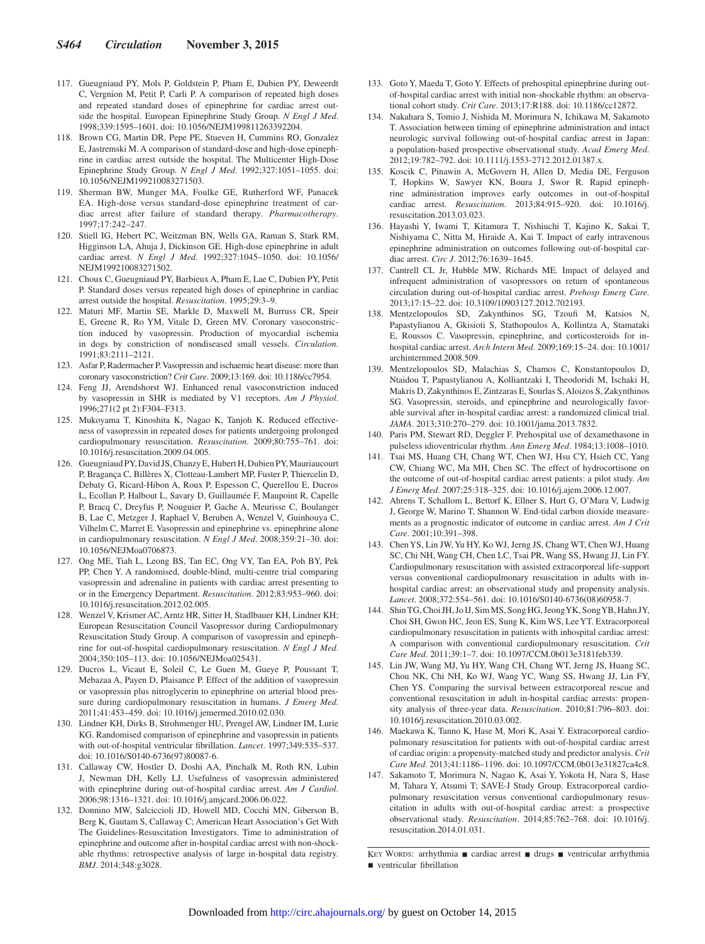- 117. Gueugniaud PY, Mols P, Goldstein P, Pham E, Dubien PY, Deweerdt C, Vergnion M, Petit P, Carli P. A comparison of repeated high doses and repeated standard doses of epinephrine for cardiac arrest outside the hospital. European Epinephrine Study Group. *N Engl J Med*. 1998;339:1595–1601. doi: 10.1056/NEJM199811263392204.
- 118. Brown CG, Martin DR, Pepe PE, Stueven H, Cummins RO, Gonzalez E, Jastremski M. A comparison of standard-dose and high-dose epinephrine in cardiac arrest outside the hospital. The Multicenter High-Dose Epinephrine Study Group. *N Engl J Med*. 1992;327:1051–1055. doi: 10.1056/NEJM199210083271503.
- 119. Sherman BW, Munger MA, Foulke GE, Rutherford WF, Panacek EA. High-dose versus standard-dose epinephrine treatment of cardiac arrest after failure of standard therapy. *Pharmacotherapy*. 1997;17:242–247.
- 120. Stiell IG, Hebert PC, Weitzman BN, Wells GA, Raman S, Stark RM, Higginson LA, Ahuja J, Dickinson GE. High-dose epinephrine in adult cardiac arrest. *N Engl J Med*. 1992;327:1045–1050. doi: 10.1056/ NEJM199210083271502.
- 121. Choux C, Gueugniaud PY, Barbieux A, Pham E, Lae C, Dubien PY, Petit P. Standard doses versus repeated high doses of epinephrine in cardiac arrest outside the hospital. *Resuscitation*. 1995;29:3–9.
- 122. Maturi MF, Martin SE, Markle D, Maxwell M, Burruss CR, Speir E, Greene R, Ro YM, Vitale D, Green MV. Coronary vasoconstriction induced by vasopressin. Production of myocardial ischemia in dogs by constriction of nondiseased small vessels. *Circulation*. 1991;83:2111–2121.
- 123. Asfar P, Radermacher P. Vasopressin and ischaemic heart disease: more than coronary vasoconstriction? *Crit Care*. 2009;13:169. doi: 10.1186/cc7954.
- 124. Feng JJ, Arendshorst WJ. Enhanced renal vasoconstriction induced by vasopressin in SHR is mediated by V1 receptors. *Am J Physiol*. 1996;271(2 pt 2):F304–F313.
- 125. Mukoyama T, Kinoshita K, Nagao K, Tanjoh K. Reduced effectiveness of vasopressin in repeated doses for patients undergoing prolonged cardiopulmonary resuscitation. *Resuscitation*. 2009;80:755–761. doi: 10.1016/j.resuscitation.2009.04.005.
- 126. Gueugniaud PY, David JS, Chanzy E, Hubert H, Dubien PY, Mauriaucourt P, Bragança C, Billères X, Clotteau-Lambert MP, Fuster P, Thiercelin D, Debaty G, Ricard-Hibon A, Roux P, Espesson C, Querellou E, Ducros L, Ecollan P, Halbout L, Savary D, Guillaumée F, Maupoint R, Capelle P, Bracq C, Dreyfus P, Nouguier P, Gache A, Meurisse C, Boulanger B, Lae C, Metzger J, Raphael V, Beruben A, Wenzel V, Guinhouya C, Vilhelm C, Marret E. Vasopressin and epinephrine vs. epinephrine alone in cardiopulmonary resuscitation. *N Engl J Med*. 2008;359:21–30. doi: 10.1056/NEJMoa0706873.
- 127. Ong ME, Tiah L, Leong BS, Tan EC, Ong VY, Tan EA, Poh BY, Pek PP, Chen Y. A randomised, double-blind, multi-centre trial comparing vasopressin and adrenaline in patients with cardiac arrest presenting to or in the Emergency Department. *Resuscitation*. 2012;83:953–960. doi: 10.1016/j.resuscitation.2012.02.005.
- 128. Wenzel V, Krismer AC, Arntz HR, Sitter H, Stadlbauer KH, Lindner KH; European Resuscitation Council Vasopressor during Cardiopulmonary Resuscitation Study Group. A comparison of vasopressin and epinephrine for out-of-hospital cardiopulmonary resuscitation. *N Engl J Med*. 2004;350:105–113. doi: 10.1056/NEJMoa025431.
- 129. Ducros L, Vicaut E, Soleil C, Le Guen M, Gueye P, Poussant T, Mebazaa A, Payen D, Plaisance P. Effect of the addition of vasopressin or vasopressin plus nitroglycerin to epinephrine on arterial blood pressure during cardiopulmonary resuscitation in humans. *J Emerg Med*. 2011;41:453–459. doi: 10.1016/j.jemermed.2010.02.030.
- 130. Lindner KH, Dirks B, Strohmenger HU, Prengel AW, Lindner IM, Lurie KG. Randomised comparison of epinephrine and vasopressin in patients with out-of-hospital ventricular fibrillation. *Lancet*. 1997;349:535–537. doi: 10.1016/S0140-6736(97)80087-6.
- 131. Callaway CW, Hostler D, Doshi AA, Pinchalk M, Roth RN, Lubin J, Newman DH, Kelly LJ. Usefulness of vasopressin administered with epinephrine during out-of-hospital cardiac arrest. *Am J Cardiol*. 2006;98:1316–1321. doi: 10.1016/j.amjcard.2006.06.022.
- 132. Donnino MW, Salciccioli JD, Howell MD, Cocchi MN, Giberson B, Berg K, Gautam S, Callaway C; American Heart Association's Get With The Guidelines-Resuscitation Investigators. Time to administration of epinephrine and outcome after in-hospital cardiac arrest with non-shockable rhythms: retrospective analysis of large in-hospital data registry. *BMJ*. 2014;348:g3028.
- 133. Goto Y, Maeda T, Goto Y. Effects of prehospital epinephrine during outof-hospital cardiac arrest with initial non-shockable rhythm: an observational cohort study. *Crit Care*. 2013;17:R188. doi: 10.1186/cc12872.
- 134. Nakahara S, Tomio J, Nishida M, Morimura N, Ichikawa M, Sakamoto T. Association between timing of epinephrine administration and intact neurologic survival following out-of-hospital cardiac arrest in Japan: a population-based prospective observational study. *Acad Emerg Med*. 2012;19:782–792. doi: 10.1111/j.1553-2712.2012.01387.x.
- 135. Koscik C, Pinawin A, McGovern H, Allen D, Media DE, Ferguson T, Hopkins W, Sawyer KN, Boura J, Swor R. Rapid epinephrine administration improves early outcomes in out-of-hospital cardiac arrest. *Resuscitation*. 2013;84:915–920. doi: 10.1016/j. resuscitation.2013.03.023.
- 136. Hayashi Y, Iwami T, Kitamura T, Nishiuchi T, Kajino K, Sakai T, Nishiyama C, Nitta M, Hiraide A, Kai T. Impact of early intravenous epinephrine administration on outcomes following out-of-hospital cardiac arrest. *Circ J*. 2012;76:1639–1645.
- 137. Cantrell CL Jr, Hubble MW, Richards ME. Impact of delayed and infrequent administration of vasopressors on return of spontaneous circulation during out-of-hospital cardiac arrest. *Prehosp Emerg Care*. 2013;17:15–22. doi: 10.3109/10903127.2012.702193.
- Mentzelopoulos SD, Zakynthinos SG, Tzoufi M, Katsios N, Papastylianou A, Gkisioti S, Stathopoulos A, Kollintza A, Stamataki E, Roussos C. Vasopressin, epinephrine, and corticosteroids for inhospital cardiac arrest. *Arch Intern Med*. 2009;169:15–24. doi: 10.1001/ archinternmed.2008.509.
- 139. Mentzelopoulos SD, Malachias S, Chamos C, Konstantopoulos D, Ntaidou T, Papastylianou A, Kolliantzaki I, Theodoridi M, Ischaki H, Makris D, Zakynthinos E, Zintzaras E, Sourlas S, Aloizos S, Zakynthinos SG. Vasopressin, steroids, and epinephrine and neurologically favorable survival after in-hospital cardiac arrest: a randomized clinical trial. *JAMA*. 2013;310:270–279. doi: 10.1001/jama.2013.7832.
- 140. Paris PM, Stewart RD, Deggler F. Prehospital use of dexamethasone in pulseless idioventricular rhythm. *Ann Emerg Med*. 1984;13:1008–1010.
- 141. Tsai MS, Huang CH, Chang WT, Chen WJ, Hsu CY, Hsieh CC, Yang CW, Chiang WC, Ma MH, Chen SC. The effect of hydrocortisone on the outcome of out-of-hospital cardiac arrest patients: a pilot study. *Am J Emerg Med*. 2007;25:318–325. doi: 10.1016/j.ajem.2006.12.007.
- 142. Ahrens T, Schallom L, Bettorf K, Ellner S, Hurt G, O'Mara V, Ludwig J, George W, Marino T, Shannon W. End-tidal carbon dioxide measurements as a prognostic indicator of outcome in cardiac arrest. *Am J Crit Care*. 2001;10:391–398.
- 143. Chen YS, Lin JW, Yu HY, Ko WJ, Jerng JS, Chang WT, Chen WJ, Huang SC, Chi NH, Wang CH, Chen LC, Tsai PR, Wang SS, Hwang JJ, Lin FY. Cardiopulmonary resuscitation with assisted extracorporeal life-support versus conventional cardiopulmonary resuscitation in adults with inhospital cardiac arrest: an observational study and propensity analysis. *Lancet*. 2008;372:554–561. doi: 10.1016/S0140-6736(08)60958-7.
- 144. Shin TG, Choi JH, Jo IJ, Sim MS, Song HG, Jeong YK, Song YB, Hahn JY, Choi SH, Gwon HC, Jeon ES, Sung K, Kim WS, Lee YT. Extracorporeal cardiopulmonary resuscitation in patients with inhospital cardiac arrest: A comparison with conventional cardiopulmonary resuscitation. *Crit Care Med*. 2011;39:1–7. doi: 10.1097/CCM.0b013e3181feb339.
- 145. Lin JW, Wang MJ, Yu HY, Wang CH, Chang WT, Jerng JS, Huang SC, Chou NK, Chi NH, Ko WJ, Wang YC, Wang SS, Hwang JJ, Lin FY, Chen YS. Comparing the survival between extracorporeal rescue and conventional resuscitation in adult in-hospital cardiac arrests: propensity analysis of three-year data. *Resuscitation*. 2010;81:796–803. doi: 10.1016/j.resuscitation.2010.03.002.
- 146. Maekawa K, Tanno K, Hase M, Mori K, Asai Y. Extracorporeal cardiopulmonary resuscitation for patients with out-of-hospital cardiac arrest of cardiac origin: a propensity-matched study and predictor analysis. *Crit Care Med*. 2013;41:1186–1196. doi: 10.1097/CCM.0b013e31827ca4c8.
- 147. Sakamoto T, Morimura N, Nagao K, Asai Y, Yokota H, Nara S, Hase M, Tahara Y, Atsumi T; SAVE-J Study Group. Extracorporeal cardiopulmonary resuscitation versus conventional cardiopulmonary resuscitation in adults with out-of-hospital cardiac arrest: a prospective observational study. *Resuscitation*. 2014;85:762–768. doi: 10.1016/j. resuscitation.2014.01.031.

KEY WORDS: arrhythmia ■ cardiac arrest ■ drugs ■ ventricular arrhythmia ■ ventricular fibrillation